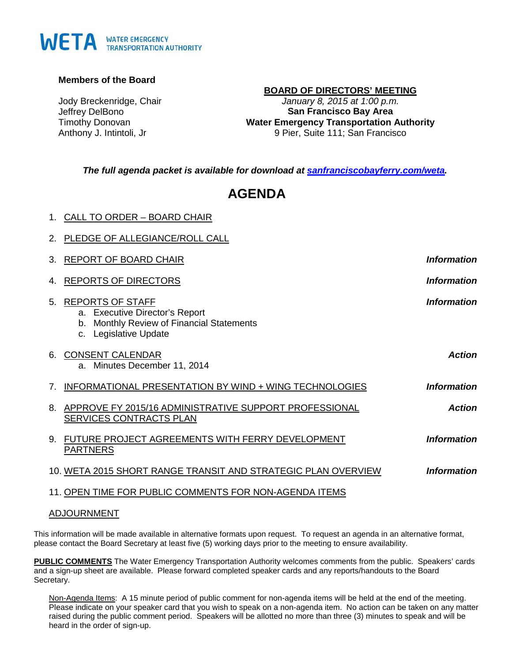# WETA WATER EMERGENCY

### **Members of the Board**

Jody Breckenridge, Chair Jeffrey DelBono Timothy Donovan Anthony J. Intintoli, Jr

### **BOARD OF DIRECTORS' MEETING** *January 8, 2015 at 1:00 p.m.* **San Francisco Bay Area Water Emergency Transportation Authority** 9 Pier, Suite 111; San Francisco

*The full agenda packet is available for download at [sanfranciscobayferry.com/weta.](http://www.sanfranciscobayferry.com/weta/next-board-meeting)*

## **AGENDA**

|    | 1. CALL TO ORDER - BOARD CHAIR                                                                                                     |                    |
|----|------------------------------------------------------------------------------------------------------------------------------------|--------------------|
|    | 2. PLEDGE OF ALLEGIANCE/ROLL CALL                                                                                                  |                    |
| 3. | <b>REPORT OF BOARD CHAIR</b>                                                                                                       | <b>Information</b> |
| 4. | <b>REPORTS OF DIRECTORS</b>                                                                                                        | <b>Information</b> |
| 5. | <b>REPORTS OF STAFF</b><br>a. Executive Director's Report<br>Monthly Review of Financial Statements<br>b.<br>c. Legislative Update | <b>Information</b> |
|    | 6. CONSENT CALENDAR<br>a. Minutes December 11, 2014                                                                                | <b>Action</b>      |
| 7. | INFORMATIONAL PRESENTATION BY WIND + WING TECHNOLOGIES                                                                             | <b>Information</b> |
| 8. | APPROVE FY 2015/16 ADMINISTRATIVE SUPPORT PROFESSIONAL<br><b>SERVICES CONTRACTS PLAN</b>                                           | <b>Action</b>      |
| 9. | FUTURE PROJECT AGREEMENTS WITH FERRY DEVELOPMENT<br><b>PARTNERS</b>                                                                | <b>Information</b> |
|    | 10. WETA 2015 SHORT RANGE TRANSIT AND STRATEGIC PLAN OVERVIEW                                                                      | <b>Information</b> |
|    | 11. OPEN TIME FOR PUBLIC COMMENTS FOR NON-AGENDA ITEMS                                                                             |                    |

### ADJOURNMENT

This information will be made available in alternative formats upon request. To request an agenda in an alternative format, please contact the Board Secretary at least five (5) working days prior to the meeting to ensure availability.

**PUBLIC COMMENTS** The Water Emergency Transportation Authority welcomes comments from the public. Speakers' cards and a sign-up sheet are available. Please forward completed speaker cards and any reports/handouts to the Board Secretary.

Non-Agenda Items: A 15 minute period of public comment for non-agenda items will be held at the end of the meeting. Please indicate on your speaker card that you wish to speak on a non-agenda item. No action can be taken on any matter raised during the public comment period. Speakers will be allotted no more than three (3) minutes to speak and will be heard in the order of sign-up.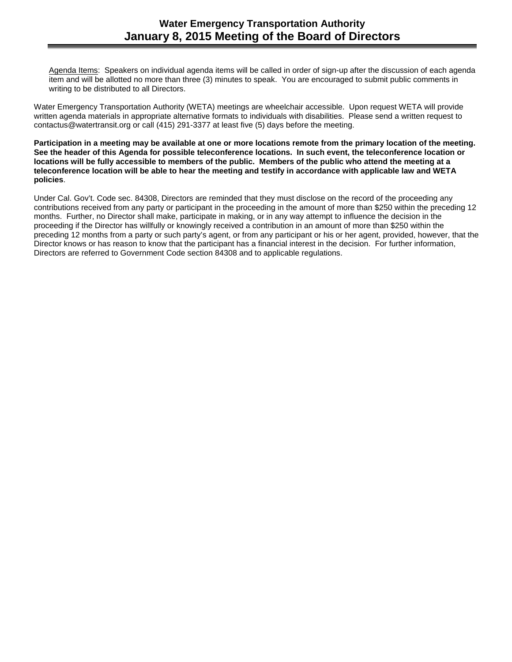Agenda Items: Speakers on individual agenda items will be called in order of sign-up after the discussion of each agenda item and will be allotted no more than three (3) minutes to speak. You are encouraged to submit public comments in writing to be distributed to all Directors.

Water Emergency Transportation Authority (WETA) meetings are wheelchair accessible. Upon request WETA will provide written agenda materials in appropriate alternative formats to individuals with disabilities. Please send a written request to contactus@watertransit.org or call (415) 291-3377 at least five (5) days before the meeting.

**Participation in a meeting may be available at one or more locations remote from the primary location of the meeting. See the header of this Agenda for possible teleconference locations. In such event, the teleconference location or locations will be fully accessible to members of the public. Members of the public who attend the meeting at a teleconference location will be able to hear the meeting and testify in accordance with applicable law and WETA policies**.

Under Cal. Gov't. Code sec. 84308, Directors are reminded that they must disclose on the record of the proceeding any contributions received from any party or participant in the proceeding in the amount of more than \$250 within the preceding 12 months. Further, no Director shall make, participate in making, or in any way attempt to influence the decision in the proceeding if the Director has willfully or knowingly received a contribution in an amount of more than \$250 within the preceding 12 months from a party or such party's agent, or from any participant or his or her agent, provided, however, that the Director knows or has reason to know that the participant has a financial interest in the decision. For further information, Directors are referred to Government Code section 84308 and to applicable regulations.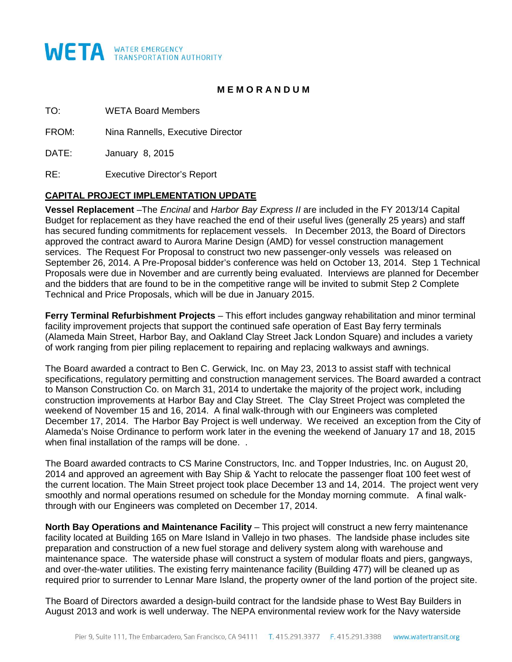

### **M E M O R A N D U M**

TO: WETA Board Members

FROM: Nina Rannells, Executive Director

DATE: January 8, 2015

RE: Executive Director's Report

### **CAPITAL PROJECT IMPLEMENTATION UPDATE**

**Vessel Replacement** –The *Encinal* and *Harbor Bay Express II* are included in the FY 2013/14 Capital Budget for replacement as they have reached the end of their useful lives (generally 25 years) and staff has secured funding commitments for replacement vessels. In December 2013, the Board of Directors approved the contract award to Aurora Marine Design (AMD) for vessel construction management services. The Request For Proposal to construct two new passenger-only vessels was released on September 26, 2014. A Pre-Proposal bidder's conference was held on October 13, 2014. Step 1 Technical Proposals were due in November and are currently being evaluated. Interviews are planned for December and the bidders that are found to be in the competitive range will be invited to submit Step 2 Complete Technical and Price Proposals, which will be due in January 2015.

**Ferry Terminal Refurbishment Projects** – This effort includes gangway rehabilitation and minor terminal facility improvement projects that support the continued safe operation of East Bay ferry terminals (Alameda Main Street, Harbor Bay, and Oakland Clay Street Jack London Square) and includes a variety of work ranging from pier piling replacement to repairing and replacing walkways and awnings.

The Board awarded a contract to Ben C. Gerwick, Inc. on May 23, 2013 to assist staff with technical specifications, regulatory permitting and construction management services. The Board awarded a contract to Manson Construction Co. on March 31, 2014 to undertake the majority of the project work, including construction improvements at Harbor Bay and Clay Street. The Clay Street Project was completed the weekend of November 15 and 16, 2014. A final walk-through with our Engineers was completed December 17, 2014. The Harbor Bay Project is well underway. We received an exception from the City of Alameda's Noise Ordinance to perform work later in the evening the weekend of January 17 and 18, 2015 when final installation of the ramps will be done...

The Board awarded contracts to CS Marine Constructors, Inc. and Topper Industries, Inc. on August 20, 2014 and approved an agreement with Bay Ship & Yacht to relocate the passenger float 100 feet west of the current location. The Main Street project took place December 13 and 14, 2014. The project went very smoothly and normal operations resumed on schedule for the Monday morning commute. A final walkthrough with our Engineers was completed on December 17, 2014.

**North Bay Operations and Maintenance Facility** – This project will construct a new ferry maintenance facility located at Building 165 on Mare Island in Vallejo in two phases. The landside phase includes site preparation and construction of a new fuel storage and delivery system along with warehouse and maintenance space. The waterside phase will construct a system of modular floats and piers, gangways, and over-the-water utilities. The existing ferry maintenance facility (Building 477) will be cleaned up as required prior to surrender to Lennar Mare Island, the property owner of the land portion of the project site.

The Board of Directors awarded a design-build contract for the landside phase to West Bay Builders in August 2013 and work is well underway. The NEPA environmental review work for the Navy waterside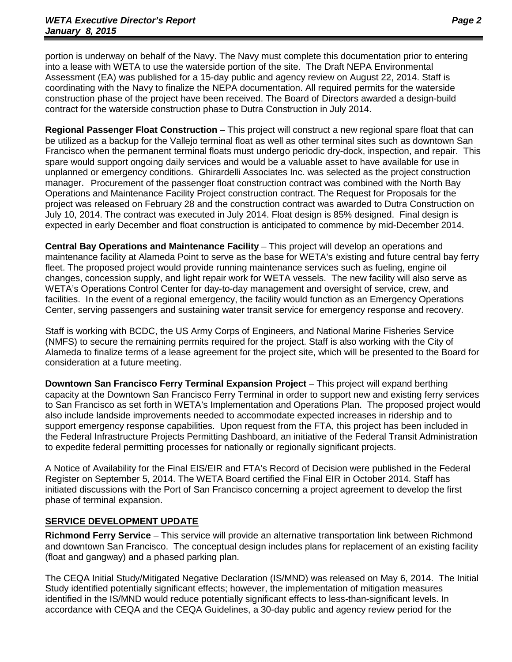portion is underway on behalf of the Navy. The Navy must complete this documentation prior to entering into a lease with WETA to use the waterside portion of the site. The Draft NEPA Environmental Assessment (EA) was published for a 15-day public and agency review on August 22, 2014. Staff is coordinating with the Navy to finalize the NEPA documentation. All required permits for the waterside construction phase of the project have been received. The Board of Directors awarded a design-build contract for the waterside construction phase to Dutra Construction in July 2014.

**Regional Passenger Float Construction** – This project will construct a new regional spare float that can be utilized as a backup for the Vallejo terminal float as well as other terminal sites such as downtown San Francisco when the permanent terminal floats must undergo periodic dry-dock, inspection, and repair. This spare would support ongoing daily services and would be a valuable asset to have available for use in unplanned or emergency conditions. Ghirardelli Associates Inc. was selected as the project construction manager. Procurement of the passenger float construction contract was combined with the North Bay Operations and Maintenance Facility Project construction contract. The Request for Proposals for the project was released on February 28 and the construction contract was awarded to Dutra Construction on July 10, 2014. The contract was executed in July 2014. Float design is 85% designed. Final design is expected in early December and float construction is anticipated to commence by mid-December 2014.

**Central Bay Operations and Maintenance Facility** – This project will develop an operations and maintenance facility at Alameda Point to serve as the base for WETA's existing and future central bay ferry fleet. The proposed project would provide running maintenance services such as fueling, engine oil changes, concession supply, and light repair work for WETA vessels. The new facility will also serve as WETA's Operations Control Center for day-to-day management and oversight of service, crew, and facilities. In the event of a regional emergency, the facility would function as an Emergency Operations Center, serving passengers and sustaining water transit service for emergency response and recovery.

Staff is working with BCDC, the US Army Corps of Engineers, and National Marine Fisheries Service (NMFS) to secure the remaining permits required for the project. Staff is also working with the City of Alameda to finalize terms of a lease agreement for the project site, which will be presented to the Board for consideration at a future meeting.

**Downtown San Francisco Ferry Terminal Expansion Project** – This project will expand berthing capacity at the Downtown San Francisco Ferry Terminal in order to support new and existing ferry services to San Francisco as set forth in WETA's Implementation and Operations Plan. The proposed project would also include landside improvements needed to accommodate expected increases in ridership and to support emergency response capabilities. Upon request from the FTA, this project has been included in the Federal Infrastructure Projects Permitting Dashboard, an initiative of the Federal Transit Administration to expedite federal permitting processes for nationally or regionally significant projects.

A Notice of Availability for the Final EIS/EIR and FTA's Record of Decision were published in the Federal Register on September 5, 2014. The WETA Board certified the Final EIR in October 2014. Staff has initiated discussions with the Port of San Francisco concerning a project agreement to develop the first phase of terminal expansion.

### **SERVICE DEVELOPMENT UPDATE**

**Richmond Ferry Service** – This service will provide an alternative transportation link between Richmond and downtown San Francisco. The conceptual design includes plans for replacement of an existing facility (float and gangway) and a phased parking plan.

The CEQA Initial Study/Mitigated Negative Declaration (IS/MND) was released on May 6, 2014. The Initial Study identified potentially significant effects; however, the implementation of mitigation measures identified in the IS/MND would reduce potentially significant effects to less-than-significant levels. In accordance with CEQA and the CEQA Guidelines, a 30-day public and agency review period for the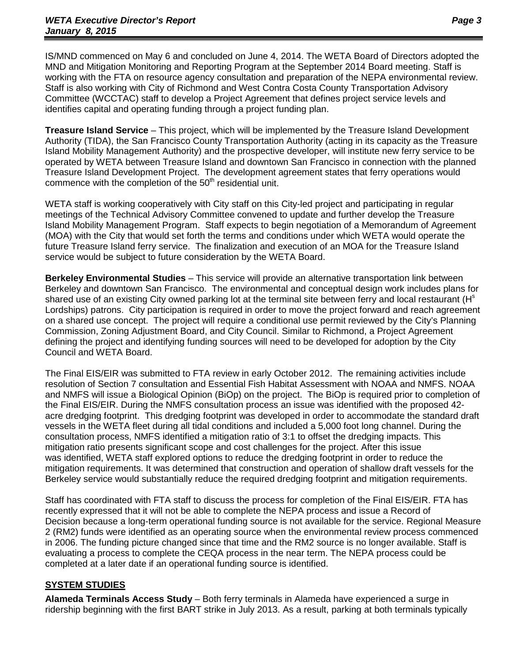IS/MND commenced on May 6 and concluded on June 4, 2014. The WETA Board of Directors adopted the MND and Mitigation Monitoring and Reporting Program at the September 2014 Board meeting. Staff is working with the FTA on resource agency consultation and preparation of the NEPA environmental review. Staff is also working with City of Richmond and West Contra Costa County Transportation Advisory Committee (WCCTAC) staff to develop a Project Agreement that defines project service levels and identifies capital and operating funding through a project funding plan.

**Treasure Island Service** – This project, which will be implemented by the Treasure Island Development Authority (TIDA), the San Francisco County Transportation Authority (acting in its capacity as the Treasure Island Mobility Management Authority) and the prospective developer, will institute new ferry service to be operated by WETA between Treasure Island and downtown San Francisco in connection with the planned Treasure Island Development Project. The development agreement states that ferry operations would commence with the completion of the  $50<sup>th</sup>$  residential unit.

WETA staff is working cooperatively with City staff on this City-led project and participating in regular meetings of the Technical Advisory Committee convened to update and further develop the Treasure Island Mobility Management Program. Staff expects to begin negotiation of a Memorandum of Agreement (MOA) with the City that would set forth the terms and conditions under which WETA would operate the future Treasure Island ferry service. The finalization and execution of an MOA for the Treasure Island service would be subject to future consideration by the WETA Board.

**Berkeley Environmental Studies** – This service will provide an alternative transportation link between Berkeley and downtown San Francisco. The environmental and conceptual design work includes plans for shared use of an existing City owned parking lot at the terminal site between ferry and local restaurant (H<sup>s</sup> Lordships) patrons. City participation is required in order to move the project forward and reach agreement on a shared use concept. The project will require a conditional use permit reviewed by the City's Planning Commission, Zoning Adjustment Board, and City Council. Similar to Richmond, a Project Agreement defining the project and identifying funding sources will need to be developed for adoption by the City Council and WETA Board.

The Final EIS/EIR was submitted to FTA review in early October 2012. The remaining activities include resolution of Section 7 consultation and Essential Fish Habitat Assessment with NOAA and NMFS. NOAA and NMFS will issue a Biological Opinion (BiOp) on the project. The BiOp is required prior to completion of the Final EIS/EIR. During the NMFS consultation process an issue was identified with the proposed 42 acre dredging footprint. This dredging footprint was developed in order to accommodate the standard draft vessels in the WETA fleet during all tidal conditions and included a 5,000 foot long channel. During the consultation process, NMFS identified a mitigation ratio of 3:1 to offset the dredging impacts. This mitigation ratio presents significant scope and cost challenges for the project. After this issue was identified, WETA staff explored options to reduce the dredging footprint in order to reduce the mitigation requirements. It was determined that construction and operation of shallow draft vessels for the Berkeley service would substantially reduce the required dredging footprint and mitigation requirements.

Staff has coordinated with FTA staff to discuss the process for completion of the Final EIS/EIR. FTA has recently expressed that it will not be able to complete the NEPA process and issue a Record of Decision because a long-term operational funding source is not available for the service. Regional Measure 2 (RM2) funds were identified as an operating source when the environmental review process commenced in 2006. The funding picture changed since that time and the RM2 source is no longer available. Staff is evaluating a process to complete the CEQA process in the near term. The NEPA process could be completed at a later date if an operational funding source is identified.

### **SYSTEM STUDIES**

**Alameda Terminals Access Study** – Both ferry terminals in Alameda have experienced a surge in ridership beginning with the first BART strike in July 2013. As a result, parking at both terminals typically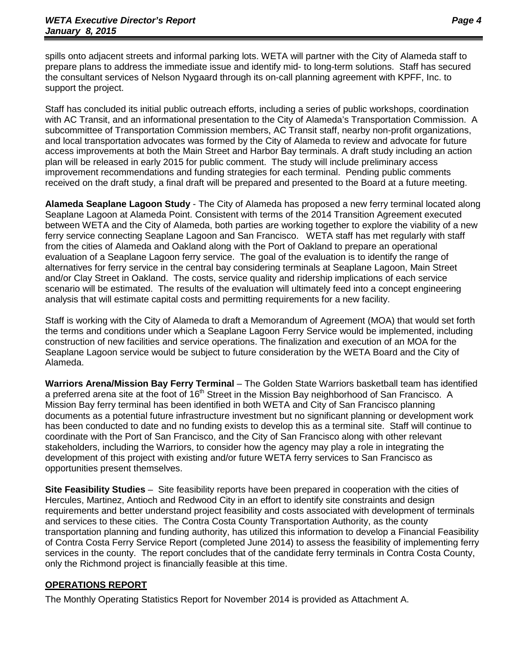spills onto adjacent streets and informal parking lots. WETA will partner with the City of Alameda staff to prepare plans to address the immediate issue and identify mid- to long-term solutions. Staff has secured the consultant services of Nelson Nygaard through its on-call planning agreement with KPFF, Inc. to support the project.

Staff has concluded its initial public outreach efforts, including a series of public workshops, coordination with AC Transit, and an informational presentation to the City of Alameda's Transportation Commission. A subcommittee of Transportation Commission members, AC Transit staff, nearby non-profit organizations, and local transportation advocates was formed by the City of Alameda to review and advocate for future access improvements at both the Main Street and Harbor Bay terminals. A draft study including an action plan will be released in early 2015 for public comment. The study will include preliminary access improvement recommendations and funding strategies for each terminal. Pending public comments received on the draft study, a final draft will be prepared and presented to the Board at a future meeting.

**Alameda Seaplane Lagoon Study** - The City of Alameda has proposed a new ferry terminal located along Seaplane Lagoon at Alameda Point. Consistent with terms of the 2014 Transition Agreement executed between WETA and the City of Alameda, both parties are working together to explore the viability of a new ferry service connecting Seaplane Lagoon and San Francisco. WETA staff has met regularly with staff from the cities of Alameda and Oakland along with the Port of Oakland to prepare an operational evaluation of a Seaplane Lagoon ferry service. The goal of the evaluation is to identify the range of alternatives for ferry service in the central bay considering terminals at Seaplane Lagoon, Main Street and/or Clay Street in Oakland. The costs, service quality and ridership implications of each service scenario will be estimated. The results of the evaluation will ultimately feed into a concept engineering analysis that will estimate capital costs and permitting requirements for a new facility.

Staff is working with the City of Alameda to draft a Memorandum of Agreement (MOA) that would set forth the terms and conditions under which a Seaplane Lagoon Ferry Service would be implemented, including construction of new facilities and service operations. The finalization and execution of an MOA for the Seaplane Lagoon service would be subject to future consideration by the WETA Board and the City of Alameda.

**Warriors Arena/Mission Bay Ferry Terminal** – The Golden State Warriors basketball team has identified a preferred arena site at the foot of 16<sup>th</sup> Street in the Mission Bay neighborhood of San Francisco. A Mission Bay ferry terminal has been identified in both WETA and City of San Francisco planning documents as a potential future infrastructure investment but no significant planning or development work has been conducted to date and no funding exists to develop this as a terminal site. Staff will continue to coordinate with the Port of San Francisco, and the City of San Francisco along with other relevant stakeholders, including the Warriors, to consider how the agency may play a role in integrating the development of this project with existing and/or future WETA ferry services to San Francisco as opportunities present themselves.

**Site Feasibility Studies** – Site feasibility reports have been prepared in cooperation with the cities of Hercules, Martinez, Antioch and Redwood City in an effort to identify site constraints and design requirements and better understand project feasibility and costs associated with development of terminals and services to these cities. The Contra Costa County Transportation Authority, as the county transportation planning and funding authority, has utilized this information to develop a Financial Feasibility of Contra Costa Ferry Service Report (completed June 2014) to assess the feasibility of implementing ferry services in the county. The report concludes that of the candidate ferry terminals in Contra Costa County, only the Richmond project is financially feasible at this time.

### **OPERATIONS REPORT**

The Monthly Operating Statistics Report for November 2014 is provided as Attachment A.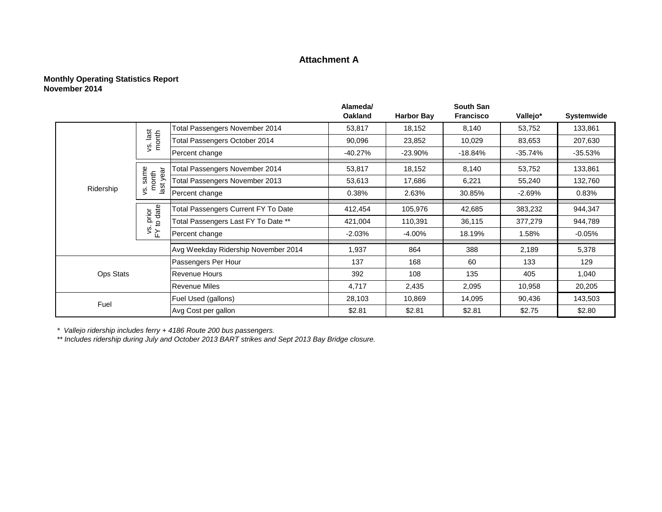### **Attachment A**

### **Monthly Operating Statistics Report November 2014**

|                  |                            |                                            | Alameda/       |                   | <b>South San</b> |           |                                                                                                            |
|------------------|----------------------------|--------------------------------------------|----------------|-------------------|------------------|-----------|------------------------------------------------------------------------------------------------------------|
|                  |                            |                                            | <b>Oakland</b> | <b>Harbor Bay</b> | <b>Francisco</b> | Vallejo*  | Systemwide                                                                                                 |
|                  |                            | Total Passengers November 2014             | 53,817         | 18,152            | 8,140            | 53,752    | 133,861                                                                                                    |
|                  | vs. last<br>month          | <b>Total Passengers October 2014</b>       | 90,096         | 23,852            | 10,029           | 83,653    | 207,630                                                                                                    |
|                  |                            | Percent change                             | $-40.27%$      | $-23.90%$         | $-18.84%$        | $-35.74%$ | $-35.53%$                                                                                                  |
|                  | еāг                        | Total Passengers November 2014             | 53,817         | 18,152            | 8,140            | 53,752    | 133,861                                                                                                    |
|                  | s. same<br>month<br>last y | Total Passengers November 2013             | 53,613         | 17,686            | 6,221            | 55,240    | 132,760<br>0.83%<br>944,347<br>944,789<br>$-0.05%$<br>5,378<br>129<br>1,040<br>20,205<br>143,503<br>\$2.80 |
| Ridership        | $\overline{\mathcal{S}}$   | Percent change                             | 0.38%          | 2.63%             | 30.85%           | $-2.69%$  |                                                                                                            |
|                  | prior<br>o date            | <b>Total Passengers Current FY To Date</b> | 412,454        | 105,976           | 42,685           | 383,232   |                                                                                                            |
|                  | $\overline{5}$             | Total Passengers Last FY To Date **        | 421,004        | 110,391           | 36,115           | 377,279   |                                                                                                            |
|                  | $\frac{1}{2}$              | Percent change                             | $-2.03%$       | $-4.00%$          | 18.19%           | 1.58%     |                                                                                                            |
|                  |                            | Avg Weekday Ridership November 2014        | 1,937          | 864               | 388              | 2,189     |                                                                                                            |
|                  |                            | Passengers Per Hour                        | 137            | 168               | 60               | 133       |                                                                                                            |
| <b>Ops Stats</b> |                            | <b>Revenue Hours</b>                       | 392            | 108               | 135              | 405       |                                                                                                            |
|                  |                            | <b>Revenue Miles</b>                       | 4,717          | 2,435             | 2,095            | 10,958    |                                                                                                            |
| Fuel             |                            | Fuel Used (gallons)                        | 28,103         | 10,869            | 14,095           | 90,436    |                                                                                                            |
|                  |                            | Avg Cost per gallon                        | \$2.81         | \$2.81            | \$2.81           | \$2.75    |                                                                                                            |

*\* Vallejo ridership includes ferry + 4186 Route 200 bus passengers.*

*\*\* Includes ridership during July and October 2013 BART strikes and Sept 2013 Bay Bridge closure.*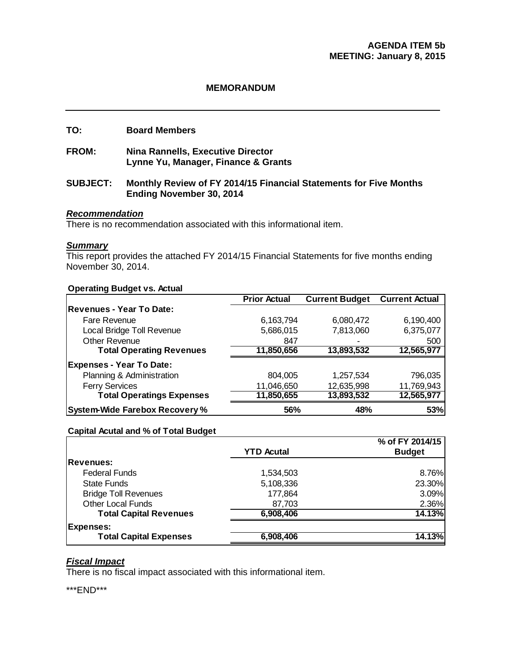### **MEMORANDUM**

### **TO: Board Members**

**FROM: Nina Rannells, Executive Director Lynne Yu, Manager, Finance & Grants** 

### **SUBJECT: Monthly Review of FY 2014/15 Financial Statements for Five Months Ending November 30, 2014**

### *Recommendation*

There is no recommendation associated with this informational item.

### *Summary*

This report provides the attached FY 2014/15 Financial Statements for five months ending November 30, 2014.

#### **Operating Budget vs. Actual**

|                                       | <b>Prior Actual</b> | <b>Current Budget</b> | <b>Current Actual</b> |
|---------------------------------------|---------------------|-----------------------|-----------------------|
| <b>Revenues - Year To Date:</b>       |                     |                       |                       |
| Fare Revenue                          | 6,163,794           | 6,080,472             | 6,190,400             |
| Local Bridge Toll Revenue             | 5,686,015           | 7,813,060             | 6,375,077             |
| <b>Other Revenue</b>                  | 847                 |                       | 500                   |
| <b>Total Operating Revenues</b>       | 11,850,656          | 13,893,532            | 12,565,977            |
| <b>Expenses - Year To Date:</b>       |                     |                       |                       |
| Planning & Administration             | 804,005             | 1,257,534             | 796,035               |
| <b>Ferry Services</b>                 | 11,046,650          | 12,635,998            | 11,769,943            |
| <b>Total Operatings Expenses</b>      | 11,850,655          | 13,893,532            | 12,565,977            |
| <b>System-Wide Farebox Recovery %</b> | 56%                 | 48%                   | 53%                   |

### **Capital Acutal and % of Total Budget**

|                               | <b>YTD Acutal</b> | % of FY 2014/15<br><b>Budget</b> |
|-------------------------------|-------------------|----------------------------------|
| <b>Revenues:</b>              |                   |                                  |
| <b>Federal Funds</b>          | 1,534,503         | 8.76%                            |
| <b>State Funds</b>            | 5,108,336         | 23.30%                           |
| <b>Bridge Toll Revenues</b>   | 177,864           | 3.09%                            |
| <b>Other Local Funds</b>      | 87,703            | 2.36%                            |
| <b>Total Capital Revenues</b> | 6,908,406         | 14.13%                           |
| <b>Expenses:</b>              |                   |                                  |
| <b>Total Capital Expenses</b> | 6,908,406         | 14.13%                           |
|                               |                   |                                  |

### *Fiscal Impact*

There is no fiscal impact associated with this informational item.

\*\*\*END\*\*\*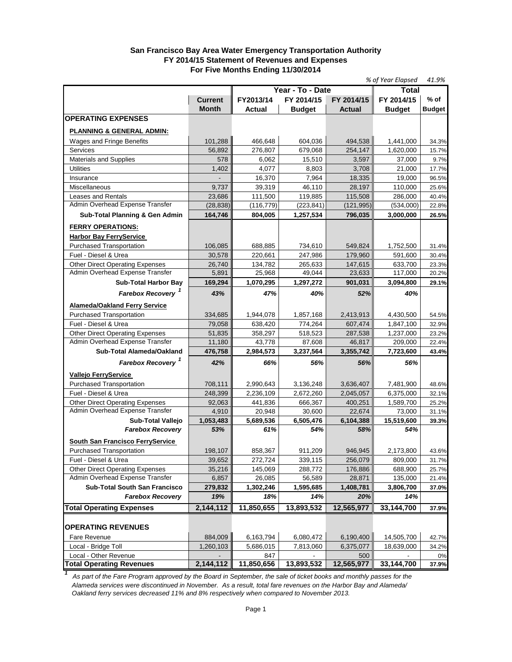### **San Francisco Bay Area Water Emergency Transportation Authority FY 2014/15 Statement of Revenues and Expenses For Five Months Ending 11/30/2014**

| Year - To - Date<br>Total<br>FY 2014/15<br>FY 2014/15<br>% of<br><b>Current</b><br>FY2013/14<br>FY 2014/15<br><b>Month</b><br><b>Budget</b><br><b>Budget</b><br>Actual<br><b>Actual</b><br><b>Budget</b><br><b>OPERATING EXPENSES</b><br><u>PLANNING &amp; GENERAL ADMIN:</u><br>101,288<br>466,648<br>604,036<br>494,538<br>1,441,000<br>Wages and Fringe Benefits<br>34.3%<br><b>Services</b><br>56,892<br>276,807<br>679,068<br>254,147<br>1,620,000<br>15.7%<br>Materials and Supplies<br>578<br>15,510<br>3,597<br>6,062<br>37,000<br>9.7%<br>4,077<br><b>Utilities</b><br>1,402<br>8,803<br>3,708<br>21,000<br>17.7%<br>7,964<br>16,370<br>18,335<br>19,000<br>Insurance<br>96.5%<br>39,319<br>Miscellaneous<br>9,737<br>46,110<br>28,197<br>110,000<br>25.6%<br><b>Leases and Rentals</b><br>23,686<br>111,500<br>119,885<br>115,508<br>286,000<br>40.4%<br>Admin Overhead Expense Transfer<br>(28, 838)<br>(116, 779)<br>(223, 841)<br>(121, 995)<br>(534,000)<br>22.8%<br>Sub-Total Planning & Gen Admin<br>164,746<br>804,005<br>1,257,534<br>796,035<br>3,000,000<br>26.5%<br><b>FERRY OPERATIONS:</b><br><b>Harbor Bay FerryService</b><br>Purchased Transportation<br>106,085<br>688,885<br>734,610<br>549,824<br>1,752,500<br>31.4%<br>Fuel - Diesel & Urea<br>30,578<br>220,661<br>247,986<br>179,960<br>591,600<br>30.4%<br><b>Other Direct Operating Expenses</b><br>26,740<br>134,782<br>265,633<br>633,700<br>147,615<br>23.3%<br>Admin Overhead Expense Transfer<br>5,891<br>25,968<br>49,044<br>23,633<br>117,000<br>20.2%<br><b>Sub-Total Harbor Bay</b><br>169,294<br>1,070,295<br>1,297,272<br>901,031<br>3,094,800<br>29.1%<br>Farebox Recovery <sup>1</sup><br>43%<br>47%<br>40%<br>52%<br>40%<br><b>Alameda/Oakland Ferry Service</b><br><b>Purchased Transportation</b><br>334,685<br>1,944,078<br>1,857,168<br>2,413,913<br>4,430,500<br>54.5%<br>Fuel - Diesel & Urea<br>79,058<br>638,420<br>774,264<br>607,474<br>1,847,100<br>32.9%<br><b>Other Direct Operating Expenses</b><br>51,835<br>358,297<br>518,523<br>287,538<br>1,237,000<br>23.2%<br>Admin Overhead Expense Transfer<br>11,180<br>43,778<br>87,608<br>46,817<br>209,000<br>22.4%<br>Sub-Total Alameda/Oakland<br>476,758<br>2,984,573<br>3,237,564<br>3,355,742<br>7,723,600<br>43.4%<br>Farebox Recovery <sup>1</sup><br>42%<br>66%<br>56%<br>56%<br>56%<br><b>Vallejo FerryService</b><br><b>Purchased Transportation</b><br>708,111<br>3,636,407<br>2,990,643<br>3,136,248<br>7,481,900<br>48.6%<br>Fuel - Diesel & Urea<br>248,399<br>2,236,109<br>2,672,260<br>2,045,057<br>6,375,000<br>32.1%<br><b>Other Direct Operating Expenses</b><br>92,063<br>441.836<br>666,367<br>400,251<br>1,589,700<br>25.2%<br>Admin Overhead Expense Transfer<br>4,910<br>20,948<br>30,600<br>22.674<br>73,000<br>31.1%<br><b>Sub-Total Vallejo</b><br>1,053,483<br>5,689,536<br>6,505,476<br>6,104,388<br>15,519,600<br>39.3%<br><b>Farebox Recovery</b><br>61%<br>58%<br>54%<br>53%<br>54%<br><b>South San Francisco FerryService</b><br>858,367<br>911.209<br>946,945<br>2,173,800<br><b>Purchased Transportation</b><br>198.107<br>43.6%<br>Fuel - Diesel & Urea<br>39,652<br>272,724<br>339,115<br>256,079<br>809,000<br>31.7%<br><b>Other Direct Operating Expenses</b><br>35,216<br>145,069<br>288,772<br>176,886<br>688,900<br>25.7%<br>Admin Overhead Expense Transfer<br>56,589<br>6,857<br>26,085<br>28,871<br>135,000<br>21.4%<br>Sub-Total South San Francisco<br>1,408,781<br>279,832<br>1,302,246<br>1,595,685<br>3,806,700<br>37.0%<br>19%<br><b>Farebox Recovery</b><br>18%<br>14%<br>20%<br>14%<br>2,144,112<br>11,850,655<br>13,893,532<br>12,565,977<br>33,144,700<br>37.9%<br><b>OPERATING REVENUES</b><br>884,009<br>6,163,794<br>6,080,472<br>6,190,400<br>14,505,700<br>Fare Revenue<br>42.7%<br>Local - Bridge Toll<br>1,260,103<br>5,686,015<br>7,813,060<br>6,375,077<br>18,639,000<br>34.2%<br>Local - Other Revenue<br>847<br>500<br>0% |                                 |            |            |            | % of Year Elapsed | 41.9% |
|--------------------------------------------------------------------------------------------------------------------------------------------------------------------------------------------------------------------------------------------------------------------------------------------------------------------------------------------------------------------------------------------------------------------------------------------------------------------------------------------------------------------------------------------------------------------------------------------------------------------------------------------------------------------------------------------------------------------------------------------------------------------------------------------------------------------------------------------------------------------------------------------------------------------------------------------------------------------------------------------------------------------------------------------------------------------------------------------------------------------------------------------------------------------------------------------------------------------------------------------------------------------------------------------------------------------------------------------------------------------------------------------------------------------------------------------------------------------------------------------------------------------------------------------------------------------------------------------------------------------------------------------------------------------------------------------------------------------------------------------------------------------------------------------------------------------------------------------------------------------------------------------------------------------------------------------------------------------------------------------------------------------------------------------------------------------------------------------------------------------------------------------------------------------------------------------------------------------------------------------------------------------------------------------------------------------------------------------------------------------------------------------------------------------------------------------------------------------------------------------------------------------------------------------------------------------------------------------------------------------------------------------------------------------------------------------------------------------------------------------------------------------------------------------------------------------------------------------------------------------------------------------------------------------------------------------------------------------------------------------------------------------------------------------------------------------------------------------------------------------------------------------------------------------------------------------------------------------------------------------------------------------------------------------------------------------------------------------------------------------------------------------------------------------------------------------------------------------------------------------------------------------------------------------------------------------------------------------------------------------------------------------------------------------------------------------------------------------------------------------------------------------------------------------------------------------------------------------------------------------------------------------------------------------------------------------------------|---------------------------------|------------|------------|------------|-------------------|-------|
|                                                                                                                                                                                                                                                                                                                                                                                                                                                                                                                                                                                                                                                                                                                                                                                                                                                                                                                                                                                                                                                                                                                                                                                                                                                                                                                                                                                                                                                                                                                                                                                                                                                                                                                                                                                                                                                                                                                                                                                                                                                                                                                                                                                                                                                                                                                                                                                                                                                                                                                                                                                                                                                                                                                                                                                                                                                                                                                                                                                                                                                                                                                                                                                                                                                                                                                                                                                                                                                                                                                                                                                                                                                                                                                                                                                                                                                                                                                                                        |                                 |            |            |            |                   |       |
|                                                                                                                                                                                                                                                                                                                                                                                                                                                                                                                                                                                                                                                                                                                                                                                                                                                                                                                                                                                                                                                                                                                                                                                                                                                                                                                                                                                                                                                                                                                                                                                                                                                                                                                                                                                                                                                                                                                                                                                                                                                                                                                                                                                                                                                                                                                                                                                                                                                                                                                                                                                                                                                                                                                                                                                                                                                                                                                                                                                                                                                                                                                                                                                                                                                                                                                                                                                                                                                                                                                                                                                                                                                                                                                                                                                                                                                                                                                                                        |                                 |            |            |            |                   |       |
|                                                                                                                                                                                                                                                                                                                                                                                                                                                                                                                                                                                                                                                                                                                                                                                                                                                                                                                                                                                                                                                                                                                                                                                                                                                                                                                                                                                                                                                                                                                                                                                                                                                                                                                                                                                                                                                                                                                                                                                                                                                                                                                                                                                                                                                                                                                                                                                                                                                                                                                                                                                                                                                                                                                                                                                                                                                                                                                                                                                                                                                                                                                                                                                                                                                                                                                                                                                                                                                                                                                                                                                                                                                                                                                                                                                                                                                                                                                                                        |                                 |            |            |            |                   |       |
|                                                                                                                                                                                                                                                                                                                                                                                                                                                                                                                                                                                                                                                                                                                                                                                                                                                                                                                                                                                                                                                                                                                                                                                                                                                                                                                                                                                                                                                                                                                                                                                                                                                                                                                                                                                                                                                                                                                                                                                                                                                                                                                                                                                                                                                                                                                                                                                                                                                                                                                                                                                                                                                                                                                                                                                                                                                                                                                                                                                                                                                                                                                                                                                                                                                                                                                                                                                                                                                                                                                                                                                                                                                                                                                                                                                                                                                                                                                                                        |                                 |            |            |            |                   |       |
|                                                                                                                                                                                                                                                                                                                                                                                                                                                                                                                                                                                                                                                                                                                                                                                                                                                                                                                                                                                                                                                                                                                                                                                                                                                                                                                                                                                                                                                                                                                                                                                                                                                                                                                                                                                                                                                                                                                                                                                                                                                                                                                                                                                                                                                                                                                                                                                                                                                                                                                                                                                                                                                                                                                                                                                                                                                                                                                                                                                                                                                                                                                                                                                                                                                                                                                                                                                                                                                                                                                                                                                                                                                                                                                                                                                                                                                                                                                                                        |                                 |            |            |            |                   |       |
|                                                                                                                                                                                                                                                                                                                                                                                                                                                                                                                                                                                                                                                                                                                                                                                                                                                                                                                                                                                                                                                                                                                                                                                                                                                                                                                                                                                                                                                                                                                                                                                                                                                                                                                                                                                                                                                                                                                                                                                                                                                                                                                                                                                                                                                                                                                                                                                                                                                                                                                                                                                                                                                                                                                                                                                                                                                                                                                                                                                                                                                                                                                                                                                                                                                                                                                                                                                                                                                                                                                                                                                                                                                                                                                                                                                                                                                                                                                                                        |                                 |            |            |            |                   |       |
|                                                                                                                                                                                                                                                                                                                                                                                                                                                                                                                                                                                                                                                                                                                                                                                                                                                                                                                                                                                                                                                                                                                                                                                                                                                                                                                                                                                                                                                                                                                                                                                                                                                                                                                                                                                                                                                                                                                                                                                                                                                                                                                                                                                                                                                                                                                                                                                                                                                                                                                                                                                                                                                                                                                                                                                                                                                                                                                                                                                                                                                                                                                                                                                                                                                                                                                                                                                                                                                                                                                                                                                                                                                                                                                                                                                                                                                                                                                                                        |                                 |            |            |            |                   |       |
|                                                                                                                                                                                                                                                                                                                                                                                                                                                                                                                                                                                                                                                                                                                                                                                                                                                                                                                                                                                                                                                                                                                                                                                                                                                                                                                                                                                                                                                                                                                                                                                                                                                                                                                                                                                                                                                                                                                                                                                                                                                                                                                                                                                                                                                                                                                                                                                                                                                                                                                                                                                                                                                                                                                                                                                                                                                                                                                                                                                                                                                                                                                                                                                                                                                                                                                                                                                                                                                                                                                                                                                                                                                                                                                                                                                                                                                                                                                                                        |                                 |            |            |            |                   |       |
|                                                                                                                                                                                                                                                                                                                                                                                                                                                                                                                                                                                                                                                                                                                                                                                                                                                                                                                                                                                                                                                                                                                                                                                                                                                                                                                                                                                                                                                                                                                                                                                                                                                                                                                                                                                                                                                                                                                                                                                                                                                                                                                                                                                                                                                                                                                                                                                                                                                                                                                                                                                                                                                                                                                                                                                                                                                                                                                                                                                                                                                                                                                                                                                                                                                                                                                                                                                                                                                                                                                                                                                                                                                                                                                                                                                                                                                                                                                                                        |                                 |            |            |            |                   |       |
|                                                                                                                                                                                                                                                                                                                                                                                                                                                                                                                                                                                                                                                                                                                                                                                                                                                                                                                                                                                                                                                                                                                                                                                                                                                                                                                                                                                                                                                                                                                                                                                                                                                                                                                                                                                                                                                                                                                                                                                                                                                                                                                                                                                                                                                                                                                                                                                                                                                                                                                                                                                                                                                                                                                                                                                                                                                                                                                                                                                                                                                                                                                                                                                                                                                                                                                                                                                                                                                                                                                                                                                                                                                                                                                                                                                                                                                                                                                                                        |                                 |            |            |            |                   |       |
|                                                                                                                                                                                                                                                                                                                                                                                                                                                                                                                                                                                                                                                                                                                                                                                                                                                                                                                                                                                                                                                                                                                                                                                                                                                                                                                                                                                                                                                                                                                                                                                                                                                                                                                                                                                                                                                                                                                                                                                                                                                                                                                                                                                                                                                                                                                                                                                                                                                                                                                                                                                                                                                                                                                                                                                                                                                                                                                                                                                                                                                                                                                                                                                                                                                                                                                                                                                                                                                                                                                                                                                                                                                                                                                                                                                                                                                                                                                                                        |                                 |            |            |            |                   |       |
|                                                                                                                                                                                                                                                                                                                                                                                                                                                                                                                                                                                                                                                                                                                                                                                                                                                                                                                                                                                                                                                                                                                                                                                                                                                                                                                                                                                                                                                                                                                                                                                                                                                                                                                                                                                                                                                                                                                                                                                                                                                                                                                                                                                                                                                                                                                                                                                                                                                                                                                                                                                                                                                                                                                                                                                                                                                                                                                                                                                                                                                                                                                                                                                                                                                                                                                                                                                                                                                                                                                                                                                                                                                                                                                                                                                                                                                                                                                                                        |                                 |            |            |            |                   |       |
|                                                                                                                                                                                                                                                                                                                                                                                                                                                                                                                                                                                                                                                                                                                                                                                                                                                                                                                                                                                                                                                                                                                                                                                                                                                                                                                                                                                                                                                                                                                                                                                                                                                                                                                                                                                                                                                                                                                                                                                                                                                                                                                                                                                                                                                                                                                                                                                                                                                                                                                                                                                                                                                                                                                                                                                                                                                                                                                                                                                                                                                                                                                                                                                                                                                                                                                                                                                                                                                                                                                                                                                                                                                                                                                                                                                                                                                                                                                                                        |                                 |            |            |            |                   |       |
|                                                                                                                                                                                                                                                                                                                                                                                                                                                                                                                                                                                                                                                                                                                                                                                                                                                                                                                                                                                                                                                                                                                                                                                                                                                                                                                                                                                                                                                                                                                                                                                                                                                                                                                                                                                                                                                                                                                                                                                                                                                                                                                                                                                                                                                                                                                                                                                                                                                                                                                                                                                                                                                                                                                                                                                                                                                                                                                                                                                                                                                                                                                                                                                                                                                                                                                                                                                                                                                                                                                                                                                                                                                                                                                                                                                                                                                                                                                                                        |                                 |            |            |            |                   |       |
|                                                                                                                                                                                                                                                                                                                                                                                                                                                                                                                                                                                                                                                                                                                                                                                                                                                                                                                                                                                                                                                                                                                                                                                                                                                                                                                                                                                                                                                                                                                                                                                                                                                                                                                                                                                                                                                                                                                                                                                                                                                                                                                                                                                                                                                                                                                                                                                                                                                                                                                                                                                                                                                                                                                                                                                                                                                                                                                                                                                                                                                                                                                                                                                                                                                                                                                                                                                                                                                                                                                                                                                                                                                                                                                                                                                                                                                                                                                                                        |                                 |            |            |            |                   |       |
|                                                                                                                                                                                                                                                                                                                                                                                                                                                                                                                                                                                                                                                                                                                                                                                                                                                                                                                                                                                                                                                                                                                                                                                                                                                                                                                                                                                                                                                                                                                                                                                                                                                                                                                                                                                                                                                                                                                                                                                                                                                                                                                                                                                                                                                                                                                                                                                                                                                                                                                                                                                                                                                                                                                                                                                                                                                                                                                                                                                                                                                                                                                                                                                                                                                                                                                                                                                                                                                                                                                                                                                                                                                                                                                                                                                                                                                                                                                                                        |                                 |            |            |            |                   |       |
|                                                                                                                                                                                                                                                                                                                                                                                                                                                                                                                                                                                                                                                                                                                                                                                                                                                                                                                                                                                                                                                                                                                                                                                                                                                                                                                                                                                                                                                                                                                                                                                                                                                                                                                                                                                                                                                                                                                                                                                                                                                                                                                                                                                                                                                                                                                                                                                                                                                                                                                                                                                                                                                                                                                                                                                                                                                                                                                                                                                                                                                                                                                                                                                                                                                                                                                                                                                                                                                                                                                                                                                                                                                                                                                                                                                                                                                                                                                                                        |                                 |            |            |            |                   |       |
|                                                                                                                                                                                                                                                                                                                                                                                                                                                                                                                                                                                                                                                                                                                                                                                                                                                                                                                                                                                                                                                                                                                                                                                                                                                                                                                                                                                                                                                                                                                                                                                                                                                                                                                                                                                                                                                                                                                                                                                                                                                                                                                                                                                                                                                                                                                                                                                                                                                                                                                                                                                                                                                                                                                                                                                                                                                                                                                                                                                                                                                                                                                                                                                                                                                                                                                                                                                                                                                                                                                                                                                                                                                                                                                                                                                                                                                                                                                                                        |                                 |            |            |            |                   |       |
|                                                                                                                                                                                                                                                                                                                                                                                                                                                                                                                                                                                                                                                                                                                                                                                                                                                                                                                                                                                                                                                                                                                                                                                                                                                                                                                                                                                                                                                                                                                                                                                                                                                                                                                                                                                                                                                                                                                                                                                                                                                                                                                                                                                                                                                                                                                                                                                                                                                                                                                                                                                                                                                                                                                                                                                                                                                                                                                                                                                                                                                                                                                                                                                                                                                                                                                                                                                                                                                                                                                                                                                                                                                                                                                                                                                                                                                                                                                                                        |                                 |            |            |            |                   |       |
|                                                                                                                                                                                                                                                                                                                                                                                                                                                                                                                                                                                                                                                                                                                                                                                                                                                                                                                                                                                                                                                                                                                                                                                                                                                                                                                                                                                                                                                                                                                                                                                                                                                                                                                                                                                                                                                                                                                                                                                                                                                                                                                                                                                                                                                                                                                                                                                                                                                                                                                                                                                                                                                                                                                                                                                                                                                                                                                                                                                                                                                                                                                                                                                                                                                                                                                                                                                                                                                                                                                                                                                                                                                                                                                                                                                                                                                                                                                                                        |                                 |            |            |            |                   |       |
|                                                                                                                                                                                                                                                                                                                                                                                                                                                                                                                                                                                                                                                                                                                                                                                                                                                                                                                                                                                                                                                                                                                                                                                                                                                                                                                                                                                                                                                                                                                                                                                                                                                                                                                                                                                                                                                                                                                                                                                                                                                                                                                                                                                                                                                                                                                                                                                                                                                                                                                                                                                                                                                                                                                                                                                                                                                                                                                                                                                                                                                                                                                                                                                                                                                                                                                                                                                                                                                                                                                                                                                                                                                                                                                                                                                                                                                                                                                                                        |                                 |            |            |            |                   |       |
|                                                                                                                                                                                                                                                                                                                                                                                                                                                                                                                                                                                                                                                                                                                                                                                                                                                                                                                                                                                                                                                                                                                                                                                                                                                                                                                                                                                                                                                                                                                                                                                                                                                                                                                                                                                                                                                                                                                                                                                                                                                                                                                                                                                                                                                                                                                                                                                                                                                                                                                                                                                                                                                                                                                                                                                                                                                                                                                                                                                                                                                                                                                                                                                                                                                                                                                                                                                                                                                                                                                                                                                                                                                                                                                                                                                                                                                                                                                                                        |                                 |            |            |            |                   |       |
|                                                                                                                                                                                                                                                                                                                                                                                                                                                                                                                                                                                                                                                                                                                                                                                                                                                                                                                                                                                                                                                                                                                                                                                                                                                                                                                                                                                                                                                                                                                                                                                                                                                                                                                                                                                                                                                                                                                                                                                                                                                                                                                                                                                                                                                                                                                                                                                                                                                                                                                                                                                                                                                                                                                                                                                                                                                                                                                                                                                                                                                                                                                                                                                                                                                                                                                                                                                                                                                                                                                                                                                                                                                                                                                                                                                                                                                                                                                                                        |                                 |            |            |            |                   |       |
|                                                                                                                                                                                                                                                                                                                                                                                                                                                                                                                                                                                                                                                                                                                                                                                                                                                                                                                                                                                                                                                                                                                                                                                                                                                                                                                                                                                                                                                                                                                                                                                                                                                                                                                                                                                                                                                                                                                                                                                                                                                                                                                                                                                                                                                                                                                                                                                                                                                                                                                                                                                                                                                                                                                                                                                                                                                                                                                                                                                                                                                                                                                                                                                                                                                                                                                                                                                                                                                                                                                                                                                                                                                                                                                                                                                                                                                                                                                                                        |                                 |            |            |            |                   |       |
|                                                                                                                                                                                                                                                                                                                                                                                                                                                                                                                                                                                                                                                                                                                                                                                                                                                                                                                                                                                                                                                                                                                                                                                                                                                                                                                                                                                                                                                                                                                                                                                                                                                                                                                                                                                                                                                                                                                                                                                                                                                                                                                                                                                                                                                                                                                                                                                                                                                                                                                                                                                                                                                                                                                                                                                                                                                                                                                                                                                                                                                                                                                                                                                                                                                                                                                                                                                                                                                                                                                                                                                                                                                                                                                                                                                                                                                                                                                                                        |                                 |            |            |            |                   |       |
|                                                                                                                                                                                                                                                                                                                                                                                                                                                                                                                                                                                                                                                                                                                                                                                                                                                                                                                                                                                                                                                                                                                                                                                                                                                                                                                                                                                                                                                                                                                                                                                                                                                                                                                                                                                                                                                                                                                                                                                                                                                                                                                                                                                                                                                                                                                                                                                                                                                                                                                                                                                                                                                                                                                                                                                                                                                                                                                                                                                                                                                                                                                                                                                                                                                                                                                                                                                                                                                                                                                                                                                                                                                                                                                                                                                                                                                                                                                                                        |                                 |            |            |            |                   |       |
|                                                                                                                                                                                                                                                                                                                                                                                                                                                                                                                                                                                                                                                                                                                                                                                                                                                                                                                                                                                                                                                                                                                                                                                                                                                                                                                                                                                                                                                                                                                                                                                                                                                                                                                                                                                                                                                                                                                                                                                                                                                                                                                                                                                                                                                                                                                                                                                                                                                                                                                                                                                                                                                                                                                                                                                                                                                                                                                                                                                                                                                                                                                                                                                                                                                                                                                                                                                                                                                                                                                                                                                                                                                                                                                                                                                                                                                                                                                                                        |                                 |            |            |            |                   |       |
|                                                                                                                                                                                                                                                                                                                                                                                                                                                                                                                                                                                                                                                                                                                                                                                                                                                                                                                                                                                                                                                                                                                                                                                                                                                                                                                                                                                                                                                                                                                                                                                                                                                                                                                                                                                                                                                                                                                                                                                                                                                                                                                                                                                                                                                                                                                                                                                                                                                                                                                                                                                                                                                                                                                                                                                                                                                                                                                                                                                                                                                                                                                                                                                                                                                                                                                                                                                                                                                                                                                                                                                                                                                                                                                                                                                                                                                                                                                                                        |                                 |            |            |            |                   |       |
|                                                                                                                                                                                                                                                                                                                                                                                                                                                                                                                                                                                                                                                                                                                                                                                                                                                                                                                                                                                                                                                                                                                                                                                                                                                                                                                                                                                                                                                                                                                                                                                                                                                                                                                                                                                                                                                                                                                                                                                                                                                                                                                                                                                                                                                                                                                                                                                                                                                                                                                                                                                                                                                                                                                                                                                                                                                                                                                                                                                                                                                                                                                                                                                                                                                                                                                                                                                                                                                                                                                                                                                                                                                                                                                                                                                                                                                                                                                                                        |                                 |            |            |            |                   |       |
|                                                                                                                                                                                                                                                                                                                                                                                                                                                                                                                                                                                                                                                                                                                                                                                                                                                                                                                                                                                                                                                                                                                                                                                                                                                                                                                                                                                                                                                                                                                                                                                                                                                                                                                                                                                                                                                                                                                                                                                                                                                                                                                                                                                                                                                                                                                                                                                                                                                                                                                                                                                                                                                                                                                                                                                                                                                                                                                                                                                                                                                                                                                                                                                                                                                                                                                                                                                                                                                                                                                                                                                                                                                                                                                                                                                                                                                                                                                                                        |                                 |            |            |            |                   |       |
|                                                                                                                                                                                                                                                                                                                                                                                                                                                                                                                                                                                                                                                                                                                                                                                                                                                                                                                                                                                                                                                                                                                                                                                                                                                                                                                                                                                                                                                                                                                                                                                                                                                                                                                                                                                                                                                                                                                                                                                                                                                                                                                                                                                                                                                                                                                                                                                                                                                                                                                                                                                                                                                                                                                                                                                                                                                                                                                                                                                                                                                                                                                                                                                                                                                                                                                                                                                                                                                                                                                                                                                                                                                                                                                                                                                                                                                                                                                                                        |                                 |            |            |            |                   |       |
|                                                                                                                                                                                                                                                                                                                                                                                                                                                                                                                                                                                                                                                                                                                                                                                                                                                                                                                                                                                                                                                                                                                                                                                                                                                                                                                                                                                                                                                                                                                                                                                                                                                                                                                                                                                                                                                                                                                                                                                                                                                                                                                                                                                                                                                                                                                                                                                                                                                                                                                                                                                                                                                                                                                                                                                                                                                                                                                                                                                                                                                                                                                                                                                                                                                                                                                                                                                                                                                                                                                                                                                                                                                                                                                                                                                                                                                                                                                                                        |                                 |            |            |            |                   |       |
|                                                                                                                                                                                                                                                                                                                                                                                                                                                                                                                                                                                                                                                                                                                                                                                                                                                                                                                                                                                                                                                                                                                                                                                                                                                                                                                                                                                                                                                                                                                                                                                                                                                                                                                                                                                                                                                                                                                                                                                                                                                                                                                                                                                                                                                                                                                                                                                                                                                                                                                                                                                                                                                                                                                                                                                                                                                                                                                                                                                                                                                                                                                                                                                                                                                                                                                                                                                                                                                                                                                                                                                                                                                                                                                                                                                                                                                                                                                                                        |                                 |            |            |            |                   |       |
|                                                                                                                                                                                                                                                                                                                                                                                                                                                                                                                                                                                                                                                                                                                                                                                                                                                                                                                                                                                                                                                                                                                                                                                                                                                                                                                                                                                                                                                                                                                                                                                                                                                                                                                                                                                                                                                                                                                                                                                                                                                                                                                                                                                                                                                                                                                                                                                                                                                                                                                                                                                                                                                                                                                                                                                                                                                                                                                                                                                                                                                                                                                                                                                                                                                                                                                                                                                                                                                                                                                                                                                                                                                                                                                                                                                                                                                                                                                                                        |                                 |            |            |            |                   |       |
|                                                                                                                                                                                                                                                                                                                                                                                                                                                                                                                                                                                                                                                                                                                                                                                                                                                                                                                                                                                                                                                                                                                                                                                                                                                                                                                                                                                                                                                                                                                                                                                                                                                                                                                                                                                                                                                                                                                                                                                                                                                                                                                                                                                                                                                                                                                                                                                                                                                                                                                                                                                                                                                                                                                                                                                                                                                                                                                                                                                                                                                                                                                                                                                                                                                                                                                                                                                                                                                                                                                                                                                                                                                                                                                                                                                                                                                                                                                                                        |                                 |            |            |            |                   |       |
|                                                                                                                                                                                                                                                                                                                                                                                                                                                                                                                                                                                                                                                                                                                                                                                                                                                                                                                                                                                                                                                                                                                                                                                                                                                                                                                                                                                                                                                                                                                                                                                                                                                                                                                                                                                                                                                                                                                                                                                                                                                                                                                                                                                                                                                                                                                                                                                                                                                                                                                                                                                                                                                                                                                                                                                                                                                                                                                                                                                                                                                                                                                                                                                                                                                                                                                                                                                                                                                                                                                                                                                                                                                                                                                                                                                                                                                                                                                                                        |                                 |            |            |            |                   |       |
|                                                                                                                                                                                                                                                                                                                                                                                                                                                                                                                                                                                                                                                                                                                                                                                                                                                                                                                                                                                                                                                                                                                                                                                                                                                                                                                                                                                                                                                                                                                                                                                                                                                                                                                                                                                                                                                                                                                                                                                                                                                                                                                                                                                                                                                                                                                                                                                                                                                                                                                                                                                                                                                                                                                                                                                                                                                                                                                                                                                                                                                                                                                                                                                                                                                                                                                                                                                                                                                                                                                                                                                                                                                                                                                                                                                                                                                                                                                                                        |                                 |            |            |            |                   |       |
|                                                                                                                                                                                                                                                                                                                                                                                                                                                                                                                                                                                                                                                                                                                                                                                                                                                                                                                                                                                                                                                                                                                                                                                                                                                                                                                                                                                                                                                                                                                                                                                                                                                                                                                                                                                                                                                                                                                                                                                                                                                                                                                                                                                                                                                                                                                                                                                                                                                                                                                                                                                                                                                                                                                                                                                                                                                                                                                                                                                                                                                                                                                                                                                                                                                                                                                                                                                                                                                                                                                                                                                                                                                                                                                                                                                                                                                                                                                                                        |                                 |            |            |            |                   |       |
|                                                                                                                                                                                                                                                                                                                                                                                                                                                                                                                                                                                                                                                                                                                                                                                                                                                                                                                                                                                                                                                                                                                                                                                                                                                                                                                                                                                                                                                                                                                                                                                                                                                                                                                                                                                                                                                                                                                                                                                                                                                                                                                                                                                                                                                                                                                                                                                                                                                                                                                                                                                                                                                                                                                                                                                                                                                                                                                                                                                                                                                                                                                                                                                                                                                                                                                                                                                                                                                                                                                                                                                                                                                                                                                                                                                                                                                                                                                                                        |                                 |            |            |            |                   |       |
|                                                                                                                                                                                                                                                                                                                                                                                                                                                                                                                                                                                                                                                                                                                                                                                                                                                                                                                                                                                                                                                                                                                                                                                                                                                                                                                                                                                                                                                                                                                                                                                                                                                                                                                                                                                                                                                                                                                                                                                                                                                                                                                                                                                                                                                                                                                                                                                                                                                                                                                                                                                                                                                                                                                                                                                                                                                                                                                                                                                                                                                                                                                                                                                                                                                                                                                                                                                                                                                                                                                                                                                                                                                                                                                                                                                                                                                                                                                                                        |                                 |            |            |            |                   |       |
|                                                                                                                                                                                                                                                                                                                                                                                                                                                                                                                                                                                                                                                                                                                                                                                                                                                                                                                                                                                                                                                                                                                                                                                                                                                                                                                                                                                                                                                                                                                                                                                                                                                                                                                                                                                                                                                                                                                                                                                                                                                                                                                                                                                                                                                                                                                                                                                                                                                                                                                                                                                                                                                                                                                                                                                                                                                                                                                                                                                                                                                                                                                                                                                                                                                                                                                                                                                                                                                                                                                                                                                                                                                                                                                                                                                                                                                                                                                                                        |                                 |            |            |            |                   |       |
|                                                                                                                                                                                                                                                                                                                                                                                                                                                                                                                                                                                                                                                                                                                                                                                                                                                                                                                                                                                                                                                                                                                                                                                                                                                                                                                                                                                                                                                                                                                                                                                                                                                                                                                                                                                                                                                                                                                                                                                                                                                                                                                                                                                                                                                                                                                                                                                                                                                                                                                                                                                                                                                                                                                                                                                                                                                                                                                                                                                                                                                                                                                                                                                                                                                                                                                                                                                                                                                                                                                                                                                                                                                                                                                                                                                                                                                                                                                                                        |                                 |            |            |            |                   |       |
|                                                                                                                                                                                                                                                                                                                                                                                                                                                                                                                                                                                                                                                                                                                                                                                                                                                                                                                                                                                                                                                                                                                                                                                                                                                                                                                                                                                                                                                                                                                                                                                                                                                                                                                                                                                                                                                                                                                                                                                                                                                                                                                                                                                                                                                                                                                                                                                                                                                                                                                                                                                                                                                                                                                                                                                                                                                                                                                                                                                                                                                                                                                                                                                                                                                                                                                                                                                                                                                                                                                                                                                                                                                                                                                                                                                                                                                                                                                                                        |                                 |            |            |            |                   |       |
|                                                                                                                                                                                                                                                                                                                                                                                                                                                                                                                                                                                                                                                                                                                                                                                                                                                                                                                                                                                                                                                                                                                                                                                                                                                                                                                                                                                                                                                                                                                                                                                                                                                                                                                                                                                                                                                                                                                                                                                                                                                                                                                                                                                                                                                                                                                                                                                                                                                                                                                                                                                                                                                                                                                                                                                                                                                                                                                                                                                                                                                                                                                                                                                                                                                                                                                                                                                                                                                                                                                                                                                                                                                                                                                                                                                                                                                                                                                                                        |                                 |            |            |            |                   |       |
|                                                                                                                                                                                                                                                                                                                                                                                                                                                                                                                                                                                                                                                                                                                                                                                                                                                                                                                                                                                                                                                                                                                                                                                                                                                                                                                                                                                                                                                                                                                                                                                                                                                                                                                                                                                                                                                                                                                                                                                                                                                                                                                                                                                                                                                                                                                                                                                                                                                                                                                                                                                                                                                                                                                                                                                                                                                                                                                                                                                                                                                                                                                                                                                                                                                                                                                                                                                                                                                                                                                                                                                                                                                                                                                                                                                                                                                                                                                                                        |                                 |            |            |            |                   |       |
|                                                                                                                                                                                                                                                                                                                                                                                                                                                                                                                                                                                                                                                                                                                                                                                                                                                                                                                                                                                                                                                                                                                                                                                                                                                                                                                                                                                                                                                                                                                                                                                                                                                                                                                                                                                                                                                                                                                                                                                                                                                                                                                                                                                                                                                                                                                                                                                                                                                                                                                                                                                                                                                                                                                                                                                                                                                                                                                                                                                                                                                                                                                                                                                                                                                                                                                                                                                                                                                                                                                                                                                                                                                                                                                                                                                                                                                                                                                                                        | <b>Total Operating Expenses</b> |            |            |            |                   |       |
|                                                                                                                                                                                                                                                                                                                                                                                                                                                                                                                                                                                                                                                                                                                                                                                                                                                                                                                                                                                                                                                                                                                                                                                                                                                                                                                                                                                                                                                                                                                                                                                                                                                                                                                                                                                                                                                                                                                                                                                                                                                                                                                                                                                                                                                                                                                                                                                                                                                                                                                                                                                                                                                                                                                                                                                                                                                                                                                                                                                                                                                                                                                                                                                                                                                                                                                                                                                                                                                                                                                                                                                                                                                                                                                                                                                                                                                                                                                                                        |                                 |            |            |            |                   |       |
|                                                                                                                                                                                                                                                                                                                                                                                                                                                                                                                                                                                                                                                                                                                                                                                                                                                                                                                                                                                                                                                                                                                                                                                                                                                                                                                                                                                                                                                                                                                                                                                                                                                                                                                                                                                                                                                                                                                                                                                                                                                                                                                                                                                                                                                                                                                                                                                                                                                                                                                                                                                                                                                                                                                                                                                                                                                                                                                                                                                                                                                                                                                                                                                                                                                                                                                                                                                                                                                                                                                                                                                                                                                                                                                                                                                                                                                                                                                                                        |                                 |            |            |            |                   |       |
|                                                                                                                                                                                                                                                                                                                                                                                                                                                                                                                                                                                                                                                                                                                                                                                                                                                                                                                                                                                                                                                                                                                                                                                                                                                                                                                                                                                                                                                                                                                                                                                                                                                                                                                                                                                                                                                                                                                                                                                                                                                                                                                                                                                                                                                                                                                                                                                                                                                                                                                                                                                                                                                                                                                                                                                                                                                                                                                                                                                                                                                                                                                                                                                                                                                                                                                                                                                                                                                                                                                                                                                                                                                                                                                                                                                                                                                                                                                                                        |                                 |            |            |            |                   |       |
|                                                                                                                                                                                                                                                                                                                                                                                                                                                                                                                                                                                                                                                                                                                                                                                                                                                                                                                                                                                                                                                                                                                                                                                                                                                                                                                                                                                                                                                                                                                                                                                                                                                                                                                                                                                                                                                                                                                                                                                                                                                                                                                                                                                                                                                                                                                                                                                                                                                                                                                                                                                                                                                                                                                                                                                                                                                                                                                                                                                                                                                                                                                                                                                                                                                                                                                                                                                                                                                                                                                                                                                                                                                                                                                                                                                                                                                                                                                                                        |                                 |            |            |            |                   |       |
| <b>Total Operating Revenues</b><br>2,144,112<br>37.9%                                                                                                                                                                                                                                                                                                                                                                                                                                                                                                                                                                                                                                                                                                                                                                                                                                                                                                                                                                                                                                                                                                                                                                                                                                                                                                                                                                                                                                                                                                                                                                                                                                                                                                                                                                                                                                                                                                                                                                                                                                                                                                                                                                                                                                                                                                                                                                                                                                                                                                                                                                                                                                                                                                                                                                                                                                                                                                                                                                                                                                                                                                                                                                                                                                                                                                                                                                                                                                                                                                                                                                                                                                                                                                                                                                                                                                                                                                  |                                 | 11,850,656 | 13,893,532 | 12,565,977 | 33,144,700        |       |

<sup>1</sup> As part of the Fare Program approved by the Board in September, the sale of ticket books and monthly passes for the  *Alameda services were discontinued in November. As a result, total fare revenues on the Harbor Bay and Alameda/ Oakland ferry services decreased 11% and 8% respectively when compared to November 2013.*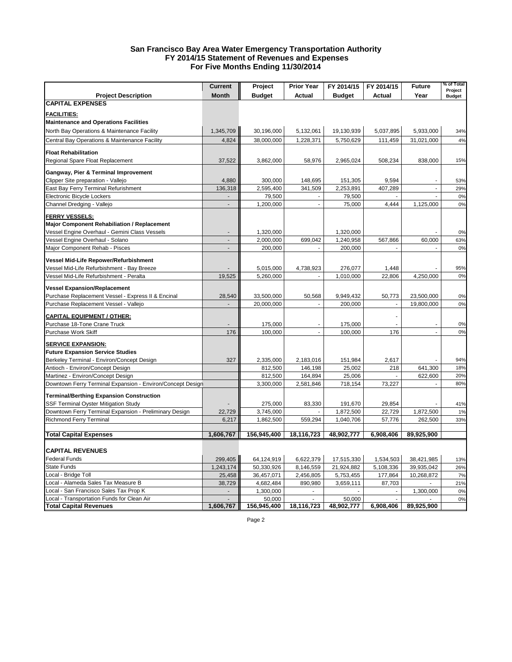#### **San Francisco Bay Area Water Emergency Transportation Authority FY 2014/15 Statement of Revenues and Expenses For Five Months Ending 11/30/2014**

|                                                            | <b>Current</b> | Project       | <b>Prior Year</b> | FY 2014/15           | FY 2014/15      | <b>Future</b> | % of Total<br>Project |
|------------------------------------------------------------|----------------|---------------|-------------------|----------------------|-----------------|---------------|-----------------------|
| <b>Project Description</b>                                 | <b>Month</b>   | <b>Budget</b> | <b>Actual</b>     | <b>Budget</b>        | Actual          | Year          | <b>Budget</b>         |
| <b>CAPITAL EXPENSES</b>                                    |                |               |                   |                      |                 |               |                       |
| <b>FACILITIES:</b>                                         |                |               |                   |                      |                 |               |                       |
| <b>Maintenance and Operations Facilities</b>               |                |               |                   |                      |                 |               |                       |
| North Bay Operations & Maintenance Facility                | 1,345,709      | 30,196,000    | 5,132,061         | 19,130,939           | 5,037,895       | 5,933,000     | 34%                   |
| Central Bay Operations & Maintenance Facility              | 4,824          | 38,000,000    | 1,228,371         | 5,750,629            | 111,459         | 31,021,000    | 4%                    |
|                                                            |                |               |                   |                      |                 |               |                       |
| <b>Float Rehabilitation</b>                                |                |               |                   |                      |                 |               |                       |
| Regional Spare Float Replacement                           | 37,522         | 3,862,000     | 58,976            | 2,965,024            | 508,234         | 838,000       | 15%                   |
| Gangway, Pier & Terminal Improvement                       |                |               |                   |                      |                 |               |                       |
| Clipper Site preparation - Vallejo                         | 4,880          | 300,000       | 148,695           | 151,305              | 9,594           |               | 53%                   |
| East Bay Ferry Terminal Refurishment                       | 136,318        | 2,595,400     | 341,509           | 2,253,891            | 407,289         | ä,            | 29%                   |
| Electronic Bicycle Lockers                                 |                | 79,500        |                   | 79,500               |                 |               | 0%                    |
| Channel Dredging - Vallejo                                 | $\overline{a}$ | 1,200,000     | ÷,                | 75,000               | 4,444           | 1,125,000     | 0%                    |
| <b>FERRY VESSELS:</b>                                      |                |               |                   |                      |                 |               |                       |
| <b>Major Component Rehabiliation / Replacement</b>         |                |               |                   |                      |                 |               |                       |
| Vessel Engine Overhaul - Gemini Class Vessels              |                | 1,320,000     |                   | 1,320,000            |                 |               | 0%                    |
| Vessel Engine Overhaul - Solano                            |                | 2,000,000     | 699,042           | 1,240,958            | 567,866         | 60,000        | 63%                   |
| Major Component Rehab - Pisces                             | ÷              | 200,000       |                   | 200,000              |                 |               | 0%                    |
| Vessel Mid-Life Repower/Refurbishment                      |                |               |                   |                      |                 |               |                       |
| Vessel Mid-Life Refurbishment - Bay Breeze                 |                | 5,015,000     | 4,738,923         | 276,077              | 1,448           |               | 95%                   |
| Vessel Mid-Life Refurbishment - Peralta                    | 19,525         | 5,260,000     |                   | 1,010,000            | 22,806          | 4,250,000     | 0%                    |
|                                                            |                |               |                   |                      |                 |               |                       |
| <b>Vessel Expansion/Replacement</b>                        |                |               |                   |                      |                 |               |                       |
| Purchase Replacement Vessel - Express II & Encinal         | 28,540         | 33,500,000    | 50,568            | 9,949,432            | 50,773          | 23,500,000    | 0%                    |
| Purchase Replacement Vessel - Vallejo                      |                | 20,000,000    |                   | 200,000              | $\sim$          | 19,800,000    | 0%                    |
| <b>CAPITAL EQUIPMENT / OTHER:</b>                          |                |               |                   |                      |                 |               |                       |
| Purchase 18-Tone Crane Truck                               |                | 175,000       | ÷,                | 175,000              |                 |               | 0%                    |
| Purchase Work Skiff                                        | 176            | 100,000       |                   | 100,000              | 176             |               | 0%                    |
| <b>SERVICE EXPANSION:</b>                                  |                |               |                   |                      |                 |               |                       |
| <b>Future Expansion Service Studies</b>                    |                |               |                   |                      |                 |               |                       |
| Berkeley Terminal - Environ/Concept Design                 | 327            | 2,335,000     | 2,183,016         | 151,984              | 2,617           |               | 94%                   |
| Antioch - Environ/Concept Design                           |                | 812,500       | 146,198           | 25,002               | 218             | 641,300       | 18%                   |
| Martinez - Environ/Concept Design                          |                | 812,500       | 164,894           | 25,006               |                 | 622,600       | 20%                   |
| Downtown Ferry Terminal Expansion - Environ/Concept Design |                | 3,300,000     | 2,581,846         | 718,154              | 73,227          |               | 80%                   |
| <b>Terminal/Berthing Expansion Construction</b>            |                |               |                   |                      |                 |               |                       |
| <b>SSF Terminal Oyster Mitigation Study</b>                |                | 275,000       | 83,330            | 191,670              | 29,854          |               | 41%                   |
| Downtown Ferry Terminal Expansion - Preliminary Design     | 22,729         | 3,745,000     |                   | 1,872,500            | 22,729          | 1,872,500     | 1%                    |
| <b>Richmond Ferry Terminal</b>                             | 6,217          | 1,862,500     | 559,294           | 1,040,706            | 57,776          | 262,500       | 33%                   |
|                                                            |                |               |                   |                      |                 |               |                       |
| Total Capital Expenses                                     | 1,606,767      | 156,945,400   | 18,116,723        | 48,902,777           | 6,908,406       | 89,925,900    |                       |
|                                                            |                |               |                   |                      |                 |               |                       |
| <b>CAPITAL REVENUES</b>                                    |                |               |                   |                      |                 |               |                       |
| Federal Funds                                              | 299,405        | 64,124,919    | 6,622,379         | 17,515,330           | 1,534,503       | 38,421,985    | 13%                   |
| State Funds                                                | 1,243,174      | 50,330,926    | 8,146,559         | 21,924,882           | 5,108,336       | 39,935,042    | 26%                   |
| Local - Bridge Toll                                        | 25,458         | 36,457,071    | 2,456,805         | 5,753,455            | 177,864         | 10,268,872    | 7%                    |
| Local - Alameda Sales Tax Measure B                        | 38,729         | 4,682,484     | 890,980           | 3,659,111            | 87,703          | $\sim$        | 21%                   |
| Local - San Francisco Sales Tax Prop K                     |                | 1,300,000     |                   |                      |                 | 1,300,000     | 0%                    |
| Local - Transportation Funds for Clean Air                 | 1,606,767      | 50,000        | 18,116,723        | 50,000<br>48,902,777 | ÷.<br>6,908,406 | 89,925,900    | 0%                    |
| <b>Total Capital Revenues</b>                              |                | 156,945,400   |                   |                      |                 |               |                       |

Page 2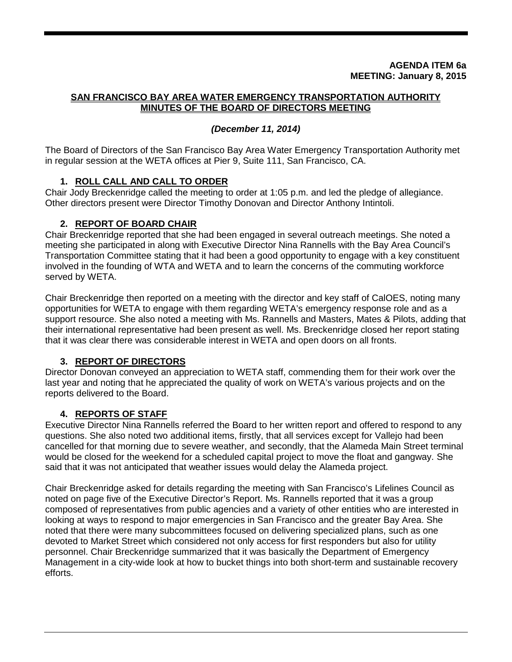### **AGENDA ITEM 6a MEETING: January 8, 2015**

### **SAN FRANCISCO BAY AREA WATER EMERGENCY TRANSPORTATION AUTHORITY MINUTES OF THE BOARD OF DIRECTORS MEETING**

### *(December 11, 2014)*

The Board of Directors of the San Francisco Bay Area Water Emergency Transportation Authority met in regular session at the WETA offices at Pier 9, Suite 111, San Francisco, CA.

### **1. ROLL CALL AND CALL TO ORDER**

Chair Jody Breckenridge called the meeting to order at 1:05 p.m. and led the pledge of allegiance. Other directors present were Director Timothy Donovan and Director Anthony Intintoli.

### **2. REPORT OF BOARD CHAIR**

Chair Breckenridge reported that she had been engaged in several outreach meetings. She noted a meeting she participated in along with Executive Director Nina Rannells with the Bay Area Council's Transportation Committee stating that it had been a good opportunity to engage with a key constituent involved in the founding of WTA and WETA and to learn the concerns of the commuting workforce served by WETA.

Chair Breckenridge then reported on a meeting with the director and key staff of CalOES, noting many opportunities for WETA to engage with them regarding WETA's emergency response role and as a support resource. She also noted a meeting with Ms. Rannells and Masters, Mates & Pilots, adding that their international representative had been present as well. Ms. Breckenridge closed her report stating that it was clear there was considerable interest in WETA and open doors on all fronts.

### **3. REPORT OF DIRECTORS**

Director Donovan conveyed an appreciation to WETA staff, commending them for their work over the last year and noting that he appreciated the quality of work on WETA's various projects and on the reports delivered to the Board.

### **4. REPORTS OF STAFF**

Executive Director Nina Rannells referred the Board to her written report and offered to respond to any questions. She also noted two additional items, firstly, that all services except for Vallejo had been cancelled for that morning due to severe weather, and secondly, that the Alameda Main Street terminal would be closed for the weekend for a scheduled capital project to move the float and gangway. She said that it was not anticipated that weather issues would delay the Alameda project.

Chair Breckenridge asked for details regarding the meeting with San Francisco's Lifelines Council as noted on page five of the Executive Director's Report. Ms. Rannells reported that it was a group composed of representatives from public agencies and a variety of other entities who are interested in looking at ways to respond to major emergencies in San Francisco and the greater Bay Area. She noted that there were many subcommittees focused on delivering specialized plans, such as one devoted to Market Street which considered not only access for first responders but also for utility personnel. Chair Breckenridge summarized that it was basically the Department of Emergency Management in a city-wide look at how to bucket things into both short-term and sustainable recovery efforts.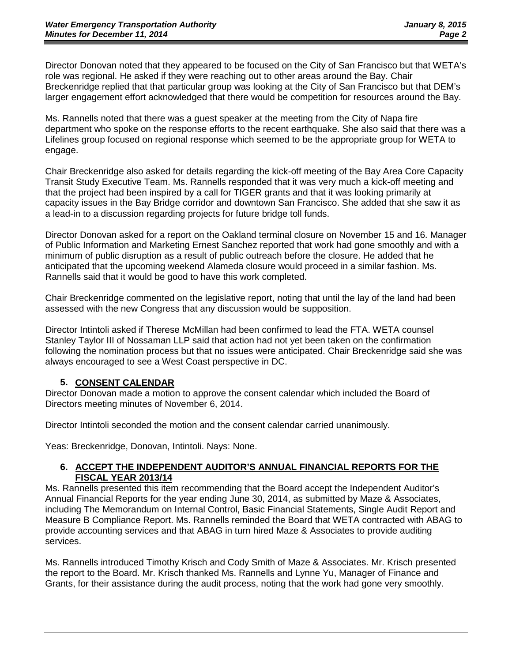Director Donovan noted that they appeared to be focused on the City of San Francisco but that WETA's role was regional. He asked if they were reaching out to other areas around the Bay. Chair Breckenridge replied that that particular group was looking at the City of San Francisco but that DEM's larger engagement effort acknowledged that there would be competition for resources around the Bay.

Ms. Rannells noted that there was a guest speaker at the meeting from the City of Napa fire department who spoke on the response efforts to the recent earthquake. She also said that there was a Lifelines group focused on regional response which seemed to be the appropriate group for WETA to engage.

Chair Breckenridge also asked for details regarding the kick-off meeting of the Bay Area Core Capacity Transit Study Executive Team. Ms. Rannells responded that it was very much a kick-off meeting and that the project had been inspired by a call for TIGER grants and that it was looking primarily at capacity issues in the Bay Bridge corridor and downtown San Francisco. She added that she saw it as a lead-in to a discussion regarding projects for future bridge toll funds.

Director Donovan asked for a report on the Oakland terminal closure on November 15 and 16. Manager of Public Information and Marketing Ernest Sanchez reported that work had gone smoothly and with a minimum of public disruption as a result of public outreach before the closure. He added that he anticipated that the upcoming weekend Alameda closure would proceed in a similar fashion. Ms. Rannells said that it would be good to have this work completed.

Chair Breckenridge commented on the legislative report, noting that until the lay of the land had been assessed with the new Congress that any discussion would be supposition.

Director Intintoli asked if Therese McMillan had been confirmed to lead the FTA. WETA counsel Stanley Taylor III of Nossaman LLP said that action had not yet been taken on the confirmation following the nomination process but that no issues were anticipated. Chair Breckenridge said she was always encouraged to see a West Coast perspective in DC.

### **5. CONSENT CALENDAR**

Director Donovan made a motion to approve the consent calendar which included the Board of Directors meeting minutes of November 6, 2014.

Director Intintoli seconded the motion and the consent calendar carried unanimously.

Yeas: Breckenridge, Donovan, Intintoli. Nays: None.

### **6. ACCEPT THE INDEPENDENT AUDITOR'S ANNUAL FINANCIAL REPORTS FOR THE FISCAL YEAR 2013/14**

Ms. Rannells presented this item recommending that the Board accept the Independent Auditor's Annual Financial Reports for the year ending June 30, 2014, as submitted by Maze & Associates, including The Memorandum on Internal Control, Basic Financial Statements, Single Audit Report and Measure B Compliance Report. Ms. Rannells reminded the Board that WETA contracted with ABAG to provide accounting services and that ABAG in turn hired Maze & Associates to provide auditing services.

Ms. Rannells introduced Timothy Krisch and Cody Smith of Maze & Associates. Mr. Krisch presented the report to the Board. Mr. Krisch thanked Ms. Rannells and Lynne Yu, Manager of Finance and Grants, for their assistance during the audit process, noting that the work had gone very smoothly.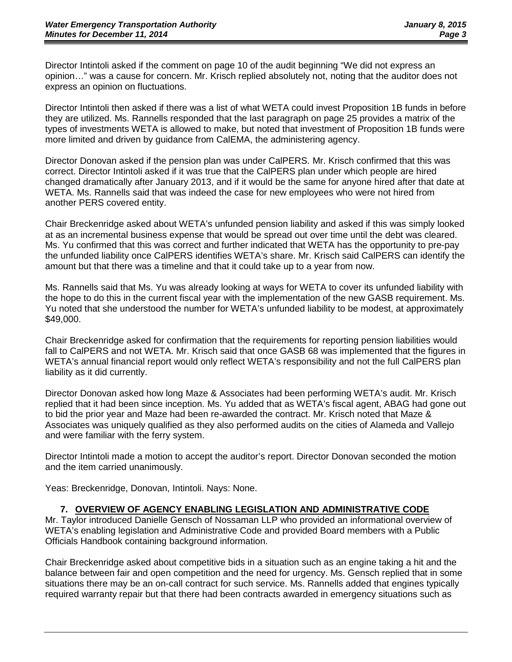Director Intintoli asked if the comment on page 10 of the audit beginning "We did not express an opinion…" was a cause for concern. Mr. Krisch replied absolutely not, noting that the auditor does not express an opinion on fluctuations.

Director Intintoli then asked if there was a list of what WETA could invest Proposition 1B funds in before they are utilized. Ms. Rannells responded that the last paragraph on page 25 provides a matrix of the types of investments WETA is allowed to make, but noted that investment of Proposition 1B funds were more limited and driven by guidance from CalEMA, the administering agency.

Director Donovan asked if the pension plan was under CalPERS. Mr. Krisch confirmed that this was correct. Director Intintoli asked if it was true that the CalPERS plan under which people are hired changed dramatically after January 2013, and if it would be the same for anyone hired after that date at WETA. Ms. Rannells said that was indeed the case for new employees who were not hired from another PERS covered entity.

Chair Breckenridge asked about WETA's unfunded pension liability and asked if this was simply looked at as an incremental business expense that would be spread out over time until the debt was cleared. Ms. Yu confirmed that this was correct and further indicated that WETA has the opportunity to pre-pay the unfunded liability once CalPERS identifies WETA's share. Mr. Krisch said CalPERS can identify the amount but that there was a timeline and that it could take up to a year from now.

Ms. Rannells said that Ms. Yu was already looking at ways for WETA to cover its unfunded liability with the hope to do this in the current fiscal year with the implementation of the new GASB requirement. Ms. Yu noted that she understood the number for WETA's unfunded liability to be modest, at approximately \$49,000.

Chair Breckenridge asked for confirmation that the requirements for reporting pension liabilities would fall to CalPERS and not WETA. Mr. Krisch said that once GASB 68 was implemented that the figures in WETA's annual financial report would only reflect WETA's responsibility and not the full CalPERS plan liability as it did currently.

Director Donovan asked how long Maze & Associates had been performing WETA's audit. Mr. Krisch replied that it had been since inception. Ms. Yu added that as WETA's fiscal agent, ABAG had gone out to bid the prior year and Maze had been re-awarded the contract. Mr. Krisch noted that Maze & Associates was uniquely qualified as they also performed audits on the cities of Alameda and Vallejo and were familiar with the ferry system.

Director Intintoli made a motion to accept the auditor's report. Director Donovan seconded the motion and the item carried unanimously.

Yeas: Breckenridge, Donovan, Intintoli. Nays: None.

### **7. OVERVIEW OF AGENCY ENABLING LEGISLATION AND ADMINISTRATIVE CODE**

Mr. Taylor introduced Danielle Gensch of Nossaman LLP who provided an informational overview of WETA's enabling legislation and Administrative Code and provided Board members with a Public Officials Handbook containing background information.

Chair Breckenridge asked about competitive bids in a situation such as an engine taking a hit and the balance between fair and open competition and the need for urgency. Ms. Gensch replied that in some situations there may be an on-call contract for such service. Ms. Rannells added that engines typically required warranty repair but that there had been contracts awarded in emergency situations such as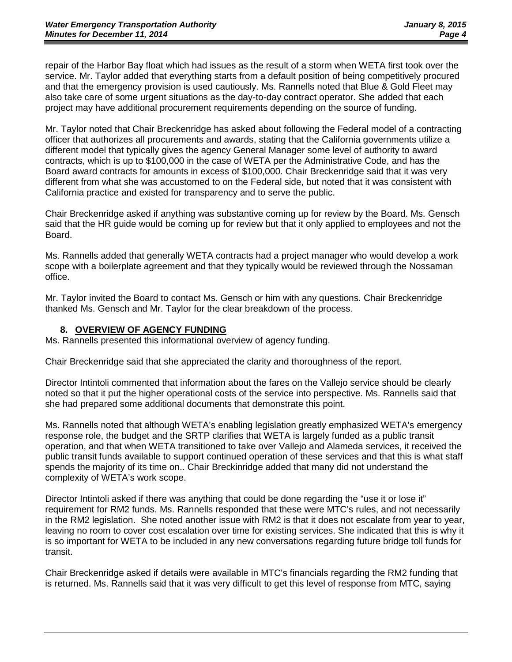repair of the Harbor Bay float which had issues as the result of a storm when WETA first took over the service. Mr. Taylor added that everything starts from a default position of being competitively procured and that the emergency provision is used cautiously. Ms. Rannells noted that Blue & Gold Fleet may also take care of some urgent situations as the day-to-day contract operator. She added that each project may have additional procurement requirements depending on the source of funding.

Mr. Taylor noted that Chair Breckenridge has asked about following the Federal model of a contracting officer that authorizes all procurements and awards, stating that the California governments utilize a different model that typically gives the agency General Manager some level of authority to award contracts, which is up to \$100,000 in the case of WETA per the Administrative Code, and has the Board award contracts for amounts in excess of \$100,000. Chair Breckenridge said that it was very different from what she was accustomed to on the Federal side, but noted that it was consistent with California practice and existed for transparency and to serve the public.

Chair Breckenridge asked if anything was substantive coming up for review by the Board. Ms. Gensch said that the HR guide would be coming up for review but that it only applied to employees and not the Board.

Ms. Rannells added that generally WETA contracts had a project manager who would develop a work scope with a boilerplate agreement and that they typically would be reviewed through the Nossaman office.

Mr. Taylor invited the Board to contact Ms. Gensch or him with any questions. Chair Breckenridge thanked Ms. Gensch and Mr. Taylor for the clear breakdown of the process.

### **8. OVERVIEW OF AGENCY FUNDING**

Ms. Rannells presented this informational overview of agency funding.

Chair Breckenridge said that she appreciated the clarity and thoroughness of the report.

Director Intintoli commented that information about the fares on the Vallejo service should be clearly noted so that it put the higher operational costs of the service into perspective. Ms. Rannells said that she had prepared some additional documents that demonstrate this point.

Ms. Rannells noted that although WETA's enabling legislation greatly emphasized WETA's emergency response role, the budget and the SRTP clarifies that WETA is largely funded as a public transit operation, and that when WETA transitioned to take over Vallejo and Alameda services, it received the public transit funds available to support continued operation of these services and that this is what staff spends the majority of its time on.. Chair Breckinridge added that many did not understand the complexity of WETA's work scope.

Director Intintoli asked if there was anything that could be done regarding the "use it or lose it" requirement for RM2 funds. Ms. Rannells responded that these were MTC's rules, and not necessarily in the RM2 legislation. She noted another issue with RM2 is that it does not escalate from year to year, leaving no room to cover cost escalation over time for existing services. She indicated that this is why it is so important for WETA to be included in any new conversations regarding future bridge toll funds for transit.

Chair Breckenridge asked if details were available in MTC's financials regarding the RM2 funding that is returned. Ms. Rannells said that it was very difficult to get this level of response from MTC, saying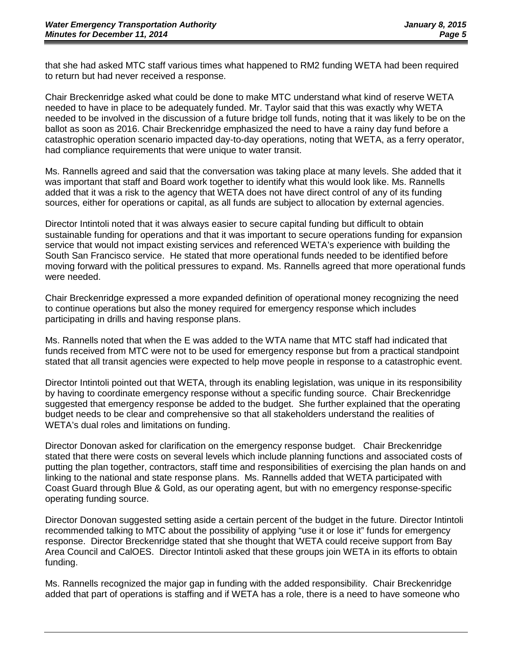that she had asked MTC staff various times what happened to RM2 funding WETA had been required to return but had never received a response.

Chair Breckenridge asked what could be done to make MTC understand what kind of reserve WETA needed to have in place to be adequately funded. Mr. Taylor said that this was exactly why WETA needed to be involved in the discussion of a future bridge toll funds, noting that it was likely to be on the ballot as soon as 2016. Chair Breckenridge emphasized the need to have a rainy day fund before a catastrophic operation scenario impacted day-to-day operations, noting that WETA, as a ferry operator, had compliance requirements that were unique to water transit.

Ms. Rannells agreed and said that the conversation was taking place at many levels. She added that it was important that staff and Board work together to identify what this would look like. Ms. Rannells added that it was a risk to the agency that WETA does not have direct control of any of its funding sources, either for operations or capital, as all funds are subject to allocation by external agencies.

Director Intintoli noted that it was always easier to secure capital funding but difficult to obtain sustainable funding for operations and that it was important to secure operations funding for expansion service that would not impact existing services and referenced WETA's experience with building the South San Francisco service. He stated that more operational funds needed to be identified before moving forward with the political pressures to expand. Ms. Rannells agreed that more operational funds were needed.

Chair Breckenridge expressed a more expanded definition of operational money recognizing the need to continue operations but also the money required for emergency response which includes participating in drills and having response plans.

Ms. Rannells noted that when the E was added to the WTA name that MTC staff had indicated that funds received from MTC were not to be used for emergency response but from a practical standpoint stated that all transit agencies were expected to help move people in response to a catastrophic event.

Director Intintoli pointed out that WETA, through its enabling legislation, was unique in its responsibility by having to coordinate emergency response without a specific funding source. Chair Breckenridge suggested that emergency response be added to the budget. She further explained that the operating budget needs to be clear and comprehensive so that all stakeholders understand the realities of WETA's dual roles and limitations on funding.

Director Donovan asked for clarification on the emergency response budget. Chair Breckenridge stated that there were costs on several levels which include planning functions and associated costs of putting the plan together, contractors, staff time and responsibilities of exercising the plan hands on and linking to the national and state response plans. Ms. Rannells added that WETA participated with Coast Guard through Blue & Gold, as our operating agent, but with no emergency response-specific operating funding source.

Director Donovan suggested setting aside a certain percent of the budget in the future. Director Intintoli recommended talking to MTC about the possibility of applying "use it or lose it" funds for emergency response. Director Breckenridge stated that she thought that WETA could receive support from Bay Area Council and CalOES. Director Intintoli asked that these groups join WETA in its efforts to obtain funding.

Ms. Rannells recognized the major gap in funding with the added responsibility. Chair Breckenridge added that part of operations is staffing and if WETA has a role, there is a need to have someone who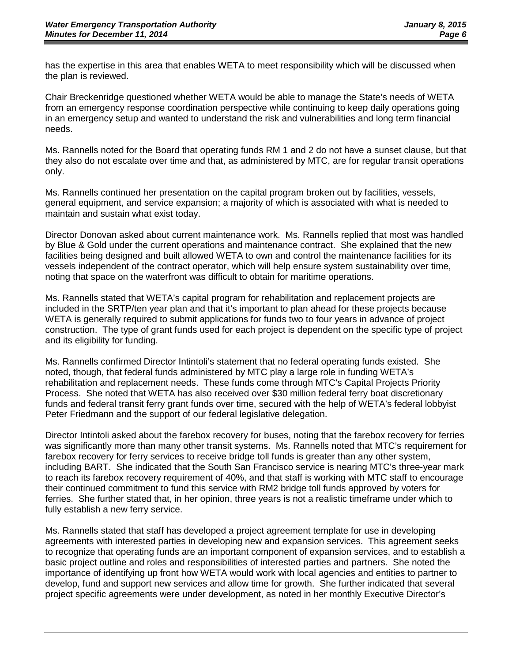has the expertise in this area that enables WETA to meet responsibility which will be discussed when the plan is reviewed.

Chair Breckenridge questioned whether WETA would be able to manage the State's needs of WETA from an emergency response coordination perspective while continuing to keep daily operations going in an emergency setup and wanted to understand the risk and vulnerabilities and long term financial needs.

Ms. Rannells noted for the Board that operating funds RM 1 and 2 do not have a sunset clause, but that they also do not escalate over time and that, as administered by MTC, are for regular transit operations only.

Ms. Rannells continued her presentation on the capital program broken out by facilities, vessels, general equipment, and service expansion; a majority of which is associated with what is needed to maintain and sustain what exist today.

Director Donovan asked about current maintenance work. Ms. Rannells replied that most was handled by Blue & Gold under the current operations and maintenance contract. She explained that the new facilities being designed and built allowed WETA to own and control the maintenance facilities for its vessels independent of the contract operator, which will help ensure system sustainability over time, noting that space on the waterfront was difficult to obtain for maritime operations.

Ms. Rannells stated that WETA's capital program for rehabilitation and replacement projects are included in the SRTP/ten year plan and that it's important to plan ahead for these projects because WETA is generally required to submit applications for funds two to four years in advance of project construction. The type of grant funds used for each project is dependent on the specific type of project and its eligibility for funding.

Ms. Rannells confirmed Director Intintoli's statement that no federal operating funds existed. She noted, though, that federal funds administered by MTC play a large role in funding WETA's rehabilitation and replacement needs. These funds come through MTC's Capital Projects Priority Process. She noted that WETA has also received over \$30 million federal ferry boat discretionary funds and federal transit ferry grant funds over time, secured with the help of WETA's federal lobbyist Peter Friedmann and the support of our federal legislative delegation.

Director Intintoli asked about the farebox recovery for buses, noting that the farebox recovery for ferries was significantly more than many other transit systems. Ms. Rannells noted that MTC's requirement for farebox recovery for ferry services to receive bridge toll funds is greater than any other system, including BART. She indicated that the South San Francisco service is nearing MTC's three-year mark to reach its farebox recovery requirement of 40%, and that staff is working with MTC staff to encourage their continued commitment to fund this service with RM2 bridge toll funds approved by voters for ferries. She further stated that, in her opinion, three years is not a realistic timeframe under which to fully establish a new ferry service.

Ms. Rannells stated that staff has developed a project agreement template for use in developing agreements with interested parties in developing new and expansion services. This agreement seeks to recognize that operating funds are an important component of expansion services, and to establish a basic project outline and roles and responsibilities of interested parties and partners. She noted the importance of identifying up front how WETA would work with local agencies and entities to partner to develop, fund and support new services and allow time for growth. She further indicated that several project specific agreements were under development, as noted in her monthly Executive Director's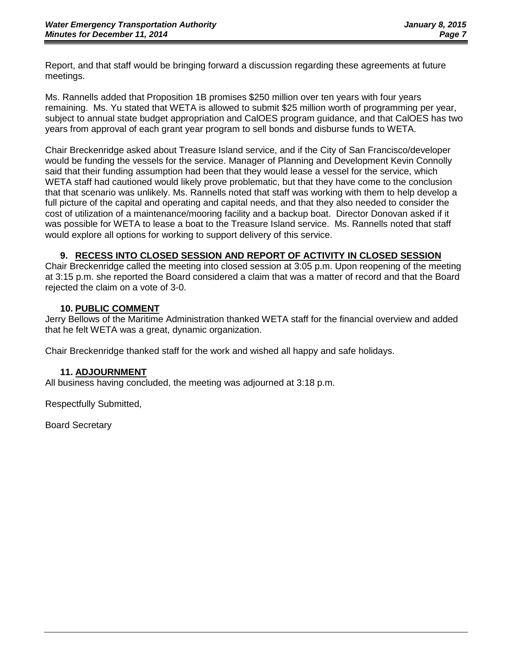Report, and that staff would be bringing forward a discussion regarding these agreements at future meetings.

Ms. Rannells added that Proposition 1B promises \$250 million over ten years with four years remaining. Ms. Yu stated that WETA is allowed to submit \$25 million worth of programming per year, subject to annual state budget appropriation and CalOES program guidance, and that CalOES has two years from approval of each grant year program to sell bonds and disburse funds to WETA.

Chair Breckenridge asked about Treasure Island service, and if the City of San Francisco/developer would be funding the vessels for the service. Manager of Planning and Development Kevin Connolly said that their funding assumption had been that they would lease a vessel for the service, which WETA staff had cautioned would likely prove problematic, but that they have come to the conclusion that that scenario was unlikely. Ms. Rannells noted that staff was working with them to help develop a full picture of the capital and operating and capital needs, and that they also needed to consider the cost of utilization of a maintenance/mooring facility and a backup boat. Director Donovan asked if it was possible for WETA to lease a boat to the Treasure Island service. Ms. Rannells noted that staff would explore all options for working to support delivery of this service.

### **9. RECESS INTO CLOSED SESSION AND REPORT OF ACTIVITY IN CLOSED SESSION**

Chair Breckenridge called the meeting into closed session at 3:05 p.m. Upon reopening of the meeting at 3:15 p.m. she reported the Board considered a claim that was a matter of record and that the Board rejected the claim on a vote of 3-0.

### **10. PUBLIC COMMENT**

Jerry Bellows of the Maritime Administration thanked WETA staff for the financial overview and added that he felt WETA was a great, dynamic organization.

Chair Breckenridge thanked staff for the work and wished all happy and safe holidays.

### **11. ADJOURNMENT**

All business having concluded, the meeting was adjourned at 3:18 p.m.

Respectfully Submitted,

Board Secretary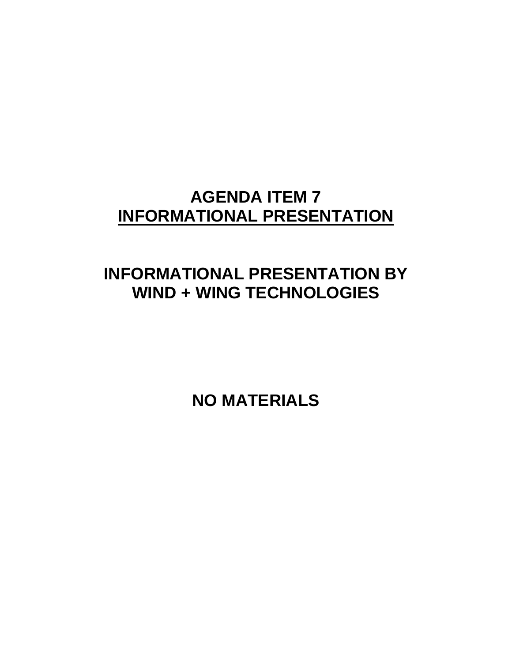# **AGENDA ITEM 7 INFORMATIONAL PRESENTATION**

# **INFORMATIONAL PRESENTATION BY WIND + WING TECHNOLOGIES**

**NO MATERIALS**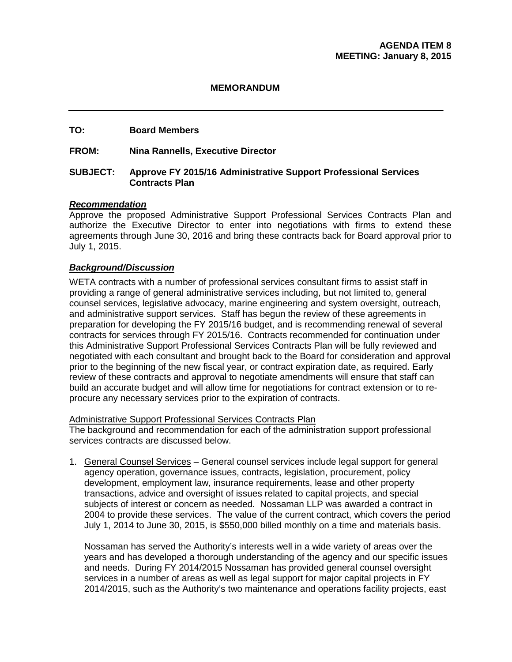### **MEMORANDUM**

### **TO: Board Members**

### **FROM: Nina Rannells, Executive Director**

### **SUBJECT: Approve FY 2015/16 Administrative Support Professional Services Contracts Plan**

### *Recommendation*

Approve the proposed Administrative Support Professional Services Contracts Plan and authorize the Executive Director to enter into negotiations with firms to extend these agreements through June 30, 2016 and bring these contracts back for Board approval prior to July 1, 2015.

### *Background/Discussion*

WETA contracts with a number of professional services consultant firms to assist staff in providing a range of general administrative services including, but not limited to, general counsel services, legislative advocacy, marine engineering and system oversight, outreach, and administrative support services. Staff has begun the review of these agreements in preparation for developing the FY 2015/16 budget, and is recommending renewal of several contracts for services through FY 2015/16. Contracts recommended for continuation under this Administrative Support Professional Services Contracts Plan will be fully reviewed and negotiated with each consultant and brought back to the Board for consideration and approval prior to the beginning of the new fiscal year, or contract expiration date, as required. Early review of these contracts and approval to negotiate amendments will ensure that staff can build an accurate budget and will allow time for negotiations for contract extension or to reprocure any necessary services prior to the expiration of contracts.

### Administrative Support Professional Services Contracts Plan

The background and recommendation for each of the administration support professional services contracts are discussed below.

1. General Counsel Services – General counsel services include legal support for general agency operation, governance issues, contracts, legislation, procurement, policy development, employment law, insurance requirements, lease and other property transactions, advice and oversight of issues related to capital projects, and special subjects of interest or concern as needed. Nossaman LLP was awarded a contract in 2004 to provide these services. The value of the current contract, which covers the period July 1, 2014 to June 30, 2015, is \$550,000 billed monthly on a time and materials basis.

Nossaman has served the Authority's interests well in a wide variety of areas over the years and has developed a thorough understanding of the agency and our specific issues and needs. During FY 2014/2015 Nossaman has provided general counsel oversight services in a number of areas as well as legal support for major capital projects in FY 2014/2015, such as the Authority's two maintenance and operations facility projects, east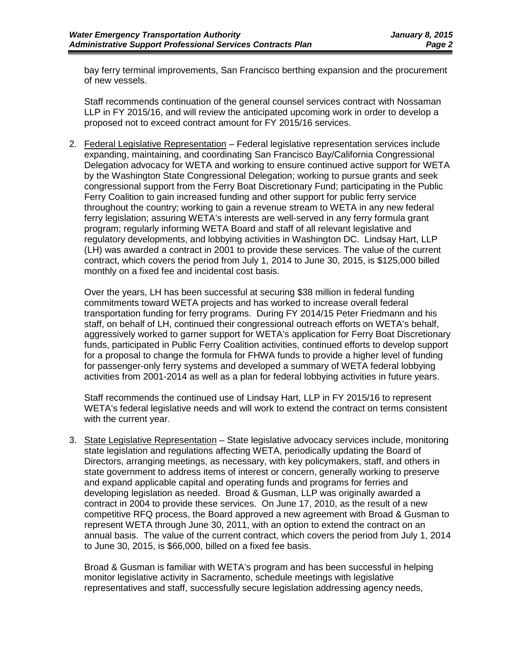bay ferry terminal improvements, San Francisco berthing expansion and the procurement of new vessels.

Staff recommends continuation of the general counsel services contract with Nossaman LLP in FY 2015/16, and will review the anticipated upcoming work in order to develop a proposed not to exceed contract amount for FY 2015/16 services.

2. Federal Legislative Representation – Federal legislative representation services include expanding, maintaining, and coordinating San Francisco Bay/California Congressional Delegation advocacy for WETA and working to ensure continued active support for WETA by the Washington State Congressional Delegation; working to pursue grants and seek congressional support from the Ferry Boat Discretionary Fund; participating in the Public Ferry Coalition to gain increased funding and other support for public ferry service throughout the country; working to gain a revenue stream to WETA in any new federal ferry legislation; assuring WETA's interests are well-served in any ferry formula grant program; regularly informing WETA Board and staff of all relevant legislative and regulatory developments, and lobbying activities in Washington DC. Lindsay Hart, LLP (LH) was awarded a contract in 2001 to provide these services. The value of the current contract, which covers the period from July 1, 2014 to June 30, 2015, is \$125,000 billed monthly on a fixed fee and incidental cost basis.

Over the years, LH has been successful at securing \$38 million in federal funding commitments toward WETA projects and has worked to increase overall federal transportation funding for ferry programs. During FY 2014/15 Peter Friedmann and his staff, on behalf of LH, continued their congressional outreach efforts on WETA's behalf, aggressively worked to garner support for WETA's application for Ferry Boat Discretionary funds, participated in Public Ferry Coalition activities, continued efforts to develop support for a proposal to change the formula for FHWA funds to provide a higher level of funding for passenger-only ferry systems and developed a summary of WETA federal lobbying activities from 2001-2014 as well as a plan for federal lobbying activities in future years.

Staff recommends the continued use of Lindsay Hart, LLP in FY 2015/16 to represent WETA's federal legislative needs and will work to extend the contract on terms consistent with the current year.

3. State Legislative Representation - State legislative advocacy services include, monitoring state legislation and regulations affecting WETA, periodically updating the Board of Directors, arranging meetings, as necessary, with key policymakers, staff, and others in state government to address items of interest or concern, generally working to preserve and expand applicable capital and operating funds and programs for ferries and developing legislation as needed. Broad & Gusman, LLP was originally awarded a contract in 2004 to provide these services. On June 17, 2010, as the result of a new competitive RFQ process, the Board approved a new agreement with Broad & Gusman to represent WETA through June 30, 2011, with an option to extend the contract on an annual basis. The value of the current contract, which covers the period from July 1, 2014 to June 30, 2015, is \$66,000, billed on a fixed fee basis.

Broad & Gusman is familiar with WETA's program and has been successful in helping monitor legislative activity in Sacramento, schedule meetings with legislative representatives and staff, successfully secure legislation addressing agency needs,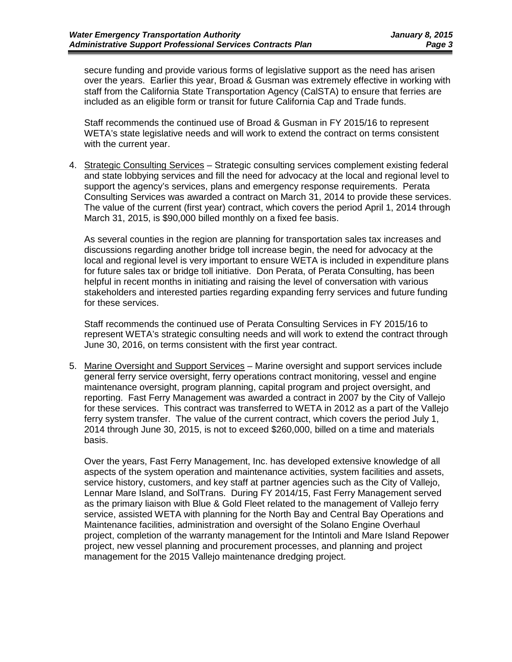secure funding and provide various forms of legislative support as the need has arisen over the years. Earlier this year, Broad & Gusman was extremely effective in working with staff from the California State Transportation Agency (CalSTA) to ensure that ferries are included as an eligible form or transit for future California Cap and Trade funds.

Staff recommends the continued use of Broad & Gusman in FY 2015/16 to represent WETA's state legislative needs and will work to extend the contract on terms consistent with the current year.

4. Strategic Consulting Services – Strategic consulting services complement existing federal and state lobbying services and fill the need for advocacy at the local and regional level to support the agency's services, plans and emergency response requirements. Perata Consulting Services was awarded a contract on March 31, 2014 to provide these services. The value of the current (first year) contract, which covers the period April 1, 2014 through March 31, 2015, is \$90,000 billed monthly on a fixed fee basis.

As several counties in the region are planning for transportation sales tax increases and discussions regarding another bridge toll increase begin, the need for advocacy at the local and regional level is very important to ensure WETA is included in expenditure plans for future sales tax or bridge toll initiative. Don Perata, of Perata Consulting, has been helpful in recent months in initiating and raising the level of conversation with various stakeholders and interested parties regarding expanding ferry services and future funding for these services.

Staff recommends the continued use of Perata Consulting Services in FY 2015/16 to represent WETA's strategic consulting needs and will work to extend the contract through June 30, 2016, on terms consistent with the first year contract.

5. Marine Oversight and Support Services – Marine oversight and support services include general ferry service oversight, ferry operations contract monitoring, vessel and engine maintenance oversight, program planning, capital program and project oversight, and reporting. Fast Ferry Management was awarded a contract in 2007 by the City of Vallejo for these services. This contract was transferred to WETA in 2012 as a part of the Vallejo ferry system transfer. The value of the current contract, which covers the period July 1, 2014 through June 30, 2015, is not to exceed \$260,000, billed on a time and materials basis.

Over the years, Fast Ferry Management, Inc. has developed extensive knowledge of all aspects of the system operation and maintenance activities, system facilities and assets, service history, customers, and key staff at partner agencies such as the City of Vallejo, Lennar Mare Island, and SolTrans. During FY 2014/15, Fast Ferry Management served as the primary liaison with Blue & Gold Fleet related to the management of Vallejo ferry service, assisted WETA with planning for the North Bay and Central Bay Operations and Maintenance facilities, administration and oversight of the Solano Engine Overhaul project, completion of the warranty management for the Intintoli and Mare Island Repower project, new vessel planning and procurement processes, and planning and project management for the 2015 Vallejo maintenance dredging project.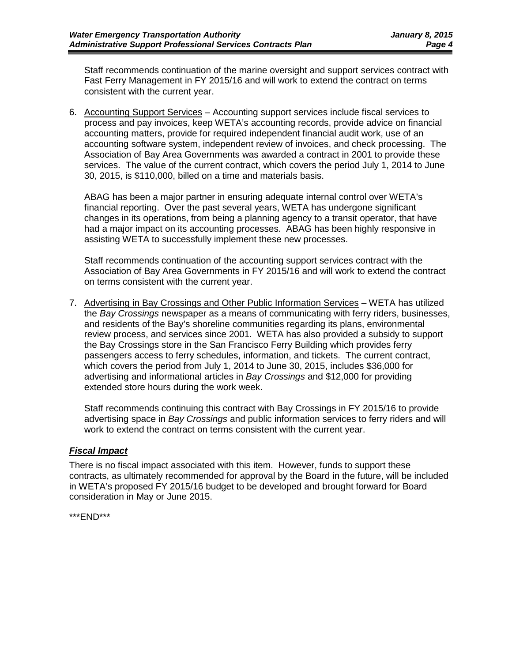Staff recommends continuation of the marine oversight and support services contract with Fast Ferry Management in FY 2015/16 and will work to extend the contract on terms consistent with the current year.

6. Accounting Support Services – Accounting support services include fiscal services to process and pay invoices, keep WETA's accounting records, provide advice on financial accounting matters, provide for required independent financial audit work, use of an accounting software system, independent review of invoices, and check processing. The Association of Bay Area Governments was awarded a contract in 2001 to provide these services. The value of the current contract, which covers the period July 1, 2014 to June 30, 2015, is \$110,000, billed on a time and materials basis.

ABAG has been a major partner in ensuring adequate internal control over WETA's financial reporting. Over the past several years, WETA has undergone significant changes in its operations, from being a planning agency to a transit operator, that have had a major impact on its accounting processes. ABAG has been highly responsive in assisting WETA to successfully implement these new processes.

Staff recommends continuation of the accounting support services contract with the Association of Bay Area Governments in FY 2015/16 and will work to extend the contract on terms consistent with the current year.

7. Advertising in Bay Crossings and Other Public Information Services – WETA has utilized the *Bay Crossings* newspaper as a means of communicating with ferry riders, businesses, and residents of the Bay's shoreline communities regarding its plans, environmental review process, and services since 2001. WETA has also provided a subsidy to support the Bay Crossings store in the San Francisco Ferry Building which provides ferry passengers access to ferry schedules, information, and tickets. The current contract, which covers the period from July 1, 2014 to June 30, 2015, includes \$36,000 for advertising and informational articles in *Bay Crossings* and \$12,000 for providing extended store hours during the work week.

Staff recommends continuing this contract with Bay Crossings in FY 2015/16 to provide advertising space in *Bay Crossings* and public information services to ferry riders and will work to extend the contract on terms consistent with the current year.

### *Fiscal Impact*

There is no fiscal impact associated with this item. However, funds to support these contracts, as ultimately recommended for approval by the Board in the future, will be included in WETA's proposed FY 2015/16 budget to be developed and brought forward for Board consideration in May or June 2015.

\*\*\*END\*\*\*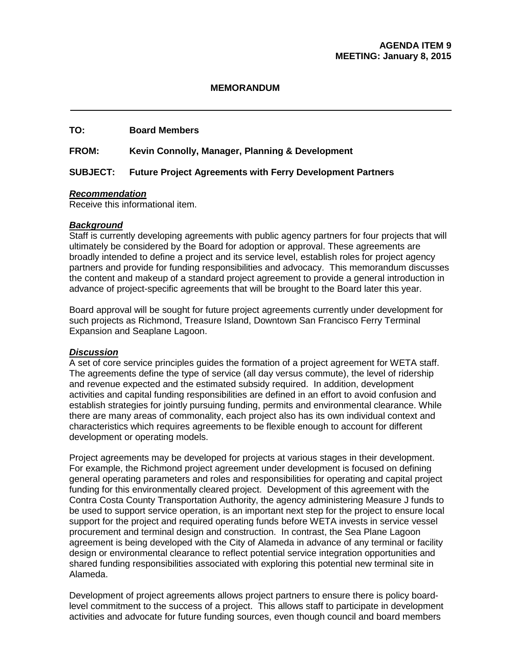### **MEMORANDUM**

### **TO: Board Members**

**FROM: Kevin Connolly, Manager, Planning & Development**

### **SUBJECT: Future Project Agreements with Ferry Development Partners**

### *Recommendation*

Receive this informational item.

### *Background*

Staff is currently developing agreements with public agency partners for four projects that will ultimately be considered by the Board for adoption or approval. These agreements are broadly intended to define a project and its service level, establish roles for project agency partners and provide for funding responsibilities and advocacy. This memorandum discusses the content and makeup of a standard project agreement to provide a general introduction in advance of project-specific agreements that will be brought to the Board later this year.

Board approval will be sought for future project agreements currently under development for such projects as Richmond, Treasure Island, Downtown San Francisco Ferry Terminal Expansion and Seaplane Lagoon.

### *Discussion*

A set of core service principles guides the formation of a project agreement for WETA staff. The agreements define the type of service (all day versus commute), the level of ridership and revenue expected and the estimated subsidy required. In addition, development activities and capital funding responsibilities are defined in an effort to avoid confusion and establish strategies for jointly pursuing funding, permits and environmental clearance. While there are many areas of commonality, each project also has its own individual context and characteristics which requires agreements to be flexible enough to account for different development or operating models.

Project agreements may be developed for projects at various stages in their development. For example, the Richmond project agreement under development is focused on defining general operating parameters and roles and responsibilities for operating and capital project funding for this environmentally cleared project. Development of this agreement with the Contra Costa County Transportation Authority, the agency administering Measure J funds to be used to support service operation, is an important next step for the project to ensure local support for the project and required operating funds before WETA invests in service vessel procurement and terminal design and construction. In contrast, the Sea Plane Lagoon agreement is being developed with the City of Alameda in advance of any terminal or facility design or environmental clearance to reflect potential service integration opportunities and shared funding responsibilities associated with exploring this potential new terminal site in Alameda.

Development of project agreements allows project partners to ensure there is policy boardlevel commitment to the success of a project. This allows staff to participate in development activities and advocate for future funding sources, even though council and board members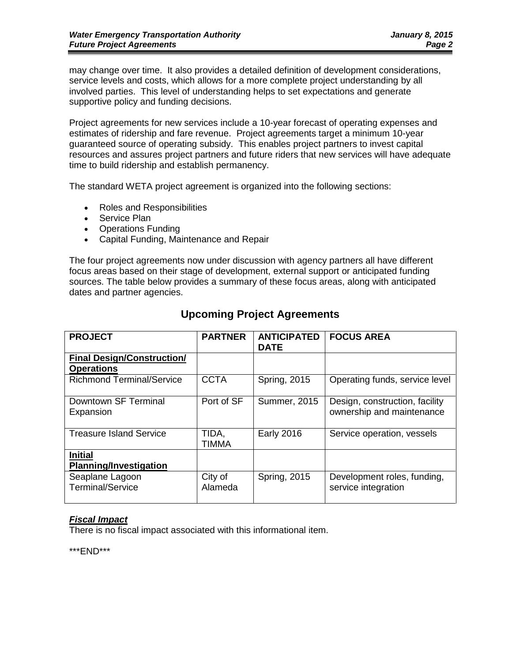may change over time. It also provides a detailed definition of development considerations, service levels and costs, which allows for a more complete project understanding by all involved parties. This level of understanding helps to set expectations and generate supportive policy and funding decisions.

Project agreements for new services include a 10-year forecast of operating expenses and estimates of ridership and fare revenue. Project agreements target a minimum 10-year guaranteed source of operating subsidy. This enables project partners to invest capital resources and assures project partners and future riders that new services will have adequate time to build ridership and establish permanency.

The standard WETA project agreement is organized into the following sections:

- Roles and Responsibilities
- Service Plan
- Operations Funding
- Capital Funding, Maintenance and Repair

The four project agreements now under discussion with agency partners all have different focus areas based on their stage of development, external support or anticipated funding sources. The table below provides a summary of these focus areas, along with anticipated dates and partner agencies.

| <b>PROJECT</b>                                         | <b>PARTNER</b>     | <b>ANTICIPATED</b><br><b>DATE</b> | <b>FOCUS AREA</b>                                           |
|--------------------------------------------------------|--------------------|-----------------------------------|-------------------------------------------------------------|
| <b>Final Design/Construction/</b><br><b>Operations</b> |                    |                                   |                                                             |
| <b>Richmond Terminal/Service</b>                       | <b>CCTA</b>        | <b>Spring, 2015</b>               | Operating funds, service level                              |
| Downtown SF Terminal<br>Expansion                      | Port of SF         | <b>Summer, 2015</b>               | Design, construction, facility<br>ownership and maintenance |
| <b>Treasure Island Service</b>                         | TIDA.<br>TIMMA     | <b>Early 2016</b>                 | Service operation, vessels                                  |
| <b>Initial</b><br><b>Planning/Investigation</b>        |                    |                                   |                                                             |
| Seaplane Lagoon<br><b>Terminal/Service</b>             | City of<br>Alameda | Spring, 2015                      | Development roles, funding,<br>service integration          |

### **Upcoming Project Agreements**

### *Fiscal Impact*

There is no fiscal impact associated with this informational item.

\*\*\*END\*\*\*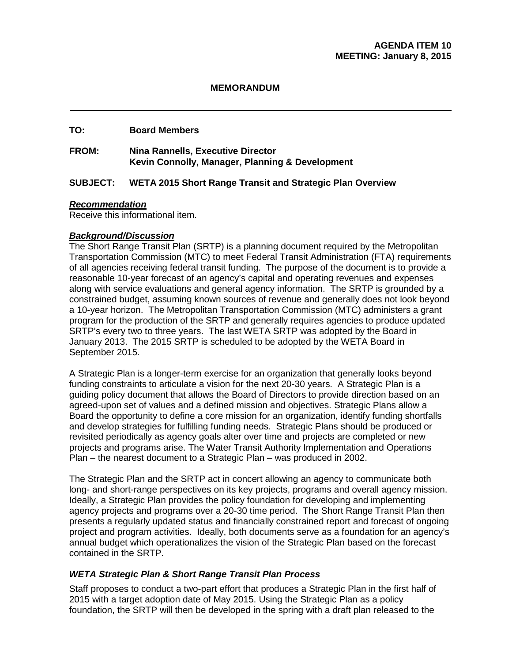### **MEMORANDUM**

### **TO: Board Members**

### **FROM: Nina Rannells, Executive Director Kevin Connolly, Manager, Planning & Development**

### **SUBJECT: WETA 2015 Short Range Transit and Strategic Plan Overview**

### *Recommendation*

Receive this informational item.

### *Background/Discussion*

The Short Range Transit Plan (SRTP) is a planning document required by the Metropolitan Transportation Commission (MTC) to meet Federal Transit Administration (FTA) requirements of all agencies receiving federal transit funding. The purpose of the document is to provide a reasonable 10-year forecast of an agency's capital and operating revenues and expenses along with service evaluations and general agency information. The SRTP is grounded by a constrained budget, assuming known sources of revenue and generally does not look beyond a 10-year horizon. The Metropolitan Transportation Commission (MTC) administers a grant program for the production of the SRTP and generally requires agencies to produce updated SRTP's every two to three years. The last WETA SRTP was adopted by the Board in January 2013. The 2015 SRTP is scheduled to be adopted by the WETA Board in September 2015.

A Strategic Plan is a longer-term exercise for an organization that generally looks beyond funding constraints to articulate a vision for the next 20-30 years. A Strategic Plan is a guiding policy document that allows the Board of Directors to provide direction based on an agreed-upon set of values and a defined mission and objectives. Strategic Plans allow a Board the opportunity to define a core mission for an organization, identify funding shortfalls and develop strategies for fulfilling funding needs. Strategic Plans should be produced or revisited periodically as agency goals alter over time and projects are completed or new projects and programs arise. The Water Transit Authority Implementation and Operations Plan – the nearest document to a Strategic Plan – was produced in 2002.

The Strategic Plan and the SRTP act in concert allowing an agency to communicate both long- and short-range perspectives on its key projects, programs and overall agency mission. Ideally, a Strategic Plan provides the policy foundation for developing and implementing agency projects and programs over a 20-30 time period. The Short Range Transit Plan then presents a regularly updated status and financially constrained report and forecast of ongoing project and program activities. Ideally, both documents serve as a foundation for an agency's annual budget which operationalizes the vision of the Strategic Plan based on the forecast contained in the SRTP.

### *WETA Strategic Plan & Short Range Transit Plan Process*

Staff proposes to conduct a two-part effort that produces a Strategic Plan in the first half of 2015 with a target adoption date of May 2015. Using the Strategic Plan as a policy foundation, the SRTP will then be developed in the spring with a draft plan released to the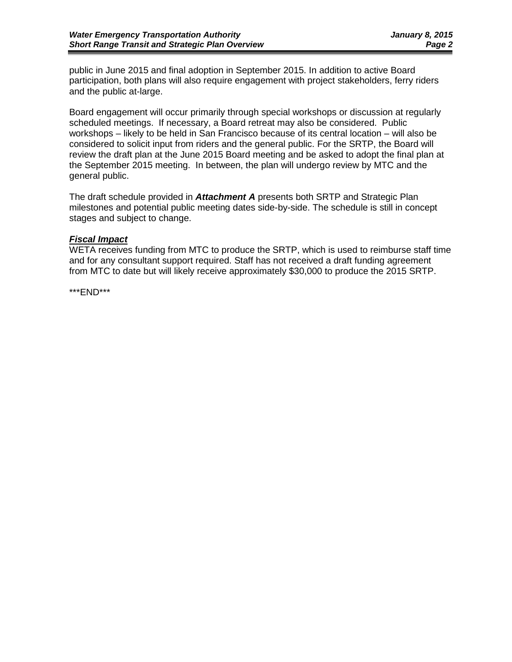public in June 2015 and final adoption in September 2015. In addition to active Board participation, both plans will also require engagement with project stakeholders, ferry riders and the public at-large.

Board engagement will occur primarily through special workshops or discussion at regularly scheduled meetings. If necessary, a Board retreat may also be considered. Public workshops – likely to be held in San Francisco because of its central location – will also be considered to solicit input from riders and the general public. For the SRTP, the Board will review the draft plan at the June 2015 Board meeting and be asked to adopt the final plan at the September 2015 meeting. In between, the plan will undergo review by MTC and the general public.

The draft schedule provided in *Attachment A* presents both SRTP and Strategic Plan milestones and potential public meeting dates side-by-side. The schedule is still in concept stages and subject to change.

### *Fiscal Impact*

WETA receives funding from MTC to produce the SRTP, which is used to reimburse staff time and for any consultant support required. Staff has not received a draft funding agreement from MTC to date but will likely receive approximately \$30,000 to produce the 2015 SRTP.

\*\*\*END\*\*\*